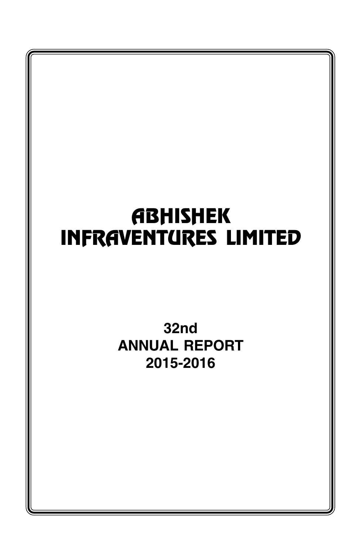# ABHISHEK INFRAVENTURES LIMITED

32nd ANNUAL REPORT 2015-2016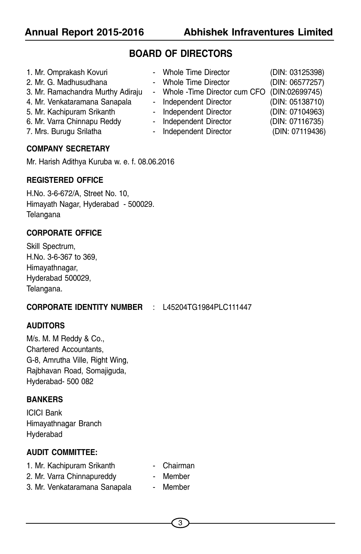# BOARD OF DIRECTORS

Mr. Harish Adithya Kuruba w. e. f. 08.06.2016

#### REGISTERED OFFICE

COMPANY SECRETARY

H.No. 3-6-672/A, Street No. 10, Himayath Nagar, Hyderabad - 500029. Telangana

## CORPORATE OFFICE

Skill Spectrum, H.No. 3-6-367 to 369, Himayathnagar, Hyderabad 500029, Telangana.

## CORPORATE IDENTITY NUMBER : L45204TG1984PLC111447

#### AUDITORS

M/s. M. M Reddy & Co., Chartered Accountants, G-8, Amrutha Ville, Right Wing, Rajbhavan Road, Somajiguda, Hyderabad- 500 082

## BANKERS

ICICI Bank Himayathnagar Branch Hyderabad

#### AUDIT COMMITTEE:

- 1. Mr. Kachipuram Srikanth Chairman
- 2. Mr. Varra Chinnapureddy Member
- -
- 3. Mr. Venkataramana Sanapala Member
	- 3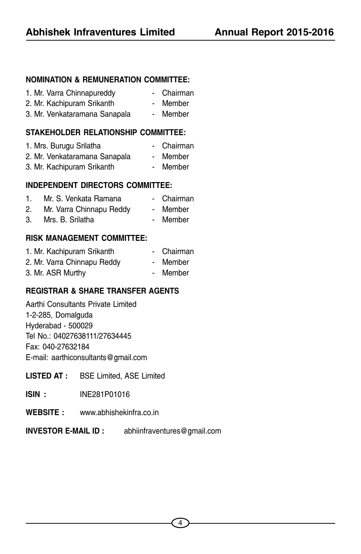#### NOMINATION & REMUNERATION COMMITTEE:

- 1. Mr. Varra Chinnapureddy Chairman
- 2. Mr. Kachipuram Srikanth Member
- 3. Mr. Venkataramana Sanapala Member

#### STAKEHOLDER RELATIONSHIP COMMITTEE:

- 1. Mrs. Burugu Srilatha Chairman
- 2. Mr. Venkataramana Sanapala Member
- 3. Mr. Kachipuram Srikanth Member

## INDEPENDENT DIRECTORS COMMITTEE:

| Mr. S. Venkata Ramana | Chairman |
|-----------------------|----------|
|-----------------------|----------|

- 2. Mr. Varra Chinnapu Reddy Member
- 3. Mrs. B. Srilatha Member

## RISK MANAGEMENT COMMITTEE:

| 1. Mr. Kachipuram Srikanth  | - Chairman |
|-----------------------------|------------|
| 2. Mr. Varra Chinnapu Reddy | - Member   |
| 3. Mr. ASR Murthy           | - Member   |

# REGISTRAR & SHARE TRANSFER AGENTS

Aarthi Consultants Private Limited 1-2-285, Domalguda Hyderabad - 500029 Tel No.: 04027638111/27634445 Fax: 040-27632184 E-mail: aarthiconsultants@gmail.com

LISTED AT : BSE Limited, ASE Limited

ISIN : INE281P01016

WEBSITE : www.abhishekinfra.co.in

#### INVESTOR E-MAIL ID : abhiinfraventures@gmail.com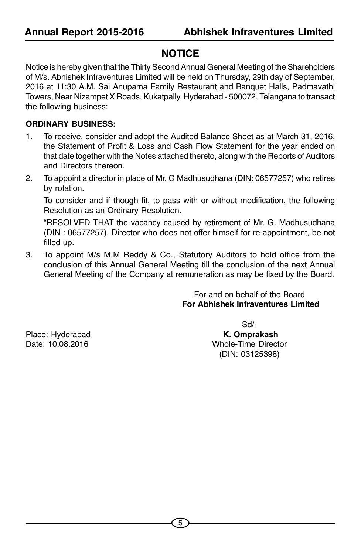# **NOTICE**

Notice is hereby given that the Thirty Second Annual General Meeting of the Shareholders of M/s. Abhishek Infraventures Limited will be held on Thursday, 29th day of September, 2016 at 11:30 A.M. Sai Anupama Family Restaurant and Banquet Halls, Padmavathi Towers, Near Nizampet X Roads, Kukatpally, Hyderabad - 500072, Telangana to transact the following business:

#### ORDINARY BUSINESS:

- 1. To receive, consider and adopt the Audited Balance Sheet as at March 31, 2016, the Statement of Profit & Loss and Cash Flow Statement for the year ended on that date together with the Notes attached thereto, along with the Reports of Auditors and Directors thereon.
- 2. To appoint a director in place of Mr. G Madhusudhana (DIN: 06577257) who retires by rotation.

To consider and if though fit, to pass with or without modification, the following Resolution as an Ordinary Resolution.

"RESOLVED THAT the vacancy caused by retirement of Mr. G. Madhusudhana (DIN : 06577257), Director who does not offer himself for re-appointment, be not filled up.

3. To appoint M/s M.M Reddy & Co., Statutory Auditors to hold office from the conclusion of this Annual General Meeting till the conclusion of the next Annual General Meeting of the Company at remuneration as may be fixed by the Board.

> For and on behalf of the Board For Abhishek Infraventures Limited

Place: Hyderabad **K. Omprakash**<br>
Date: 10.08.2016 **K. Omprakash** 

Sd/-

Whole-Time Director (DIN: 03125398)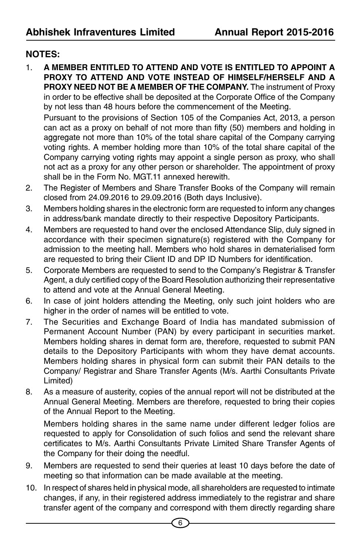# NOTES:

1. A MEMBER ENTITLED TO ATTEND AND VOTE IS ENTITLED TO APPOINT A PROXY TO ATTEND AND VOTE INSTEAD OF HIMSELF/HERSELF AND A PROXY NEED NOT BE A MEMBER OF THE COMPANY. The instrument of Proxy in order to be effective shall be deposited at the Corporate Office of the Company by not less than 48 hours before the commencement of the Meeting.

Pursuant to the provisions of Section 105 of the Companies Act, 2013, a person can act as a proxy on behalf of not more than fifty (50) members and holding in aggregate not more than 10% of the total share capital of the Company carrying voting rights. A member holding more than 10% of the total share capital of the Company carrying voting rights may appoint a single person as proxy, who shall not act as a proxy for any other person or shareholder. The appointment of proxy shall be in the Form No. MGT.11 annexed herewith.

- 2. The Register of Members and Share Transfer Books of the Company will remain closed from 24.09.2016 to 29.09.2016 (Both days Inclusive).
- 3. Members holding shares in the electronic form are requested to inform any changes in address/bank mandate directly to their respective Depository Participants.
- 4. Members are requested to hand over the enclosed Attendance Slip, duly signed in accordance with their specimen signature(s) registered with the Company for admission to the meeting hall. Members who hold shares in dematerialised form are requested to bring their Client ID and DP ID Numbers for identification.
- 5. Corporate Members are requested to send to the Company's Registrar & Transfer Agent, a duly certified copy of the Board Resolution authorizing their representative to attend and vote at the Annual General Meeting.
- 6. In case of joint holders attending the Meeting, only such joint holders who are higher in the order of names will be entitled to vote.
- 7. The Securities and Exchange Board of India has mandated submission of Permanent Account Number (PAN) by every participant in securities market. Members holding shares in demat form are, therefore, requested to submit PAN details to the Depository Participants with whom they have demat accounts. Members holding shares in physical form can submit their PAN details to the Company/ Registrar and Share Transfer Agents (M/s. Aarthi Consultants Private Limited)
- 8. As a measure of austerity, copies of the annual report will not be distributed at the Annual General Meeting. Members are therefore, requested to bring their copies of the Annual Report to the Meeting.

Members holding shares in the same name under different ledger folios are requested to apply for Consolidation of such folios and send the relevant share certificates to M/s. Aarthi Consultants Private Limited Share Transfer Agents of the Company for their doing the needful.

- 9. Members are requested to send their queries at least 10 days before the date of meeting so that information can be made available at the meeting.
- 10. In respect of shares held in physical mode, all shareholders are requested to intimate changes, if any, in their registered address immediately to the registrar and share transfer agent of the company and correspond with them directly regarding share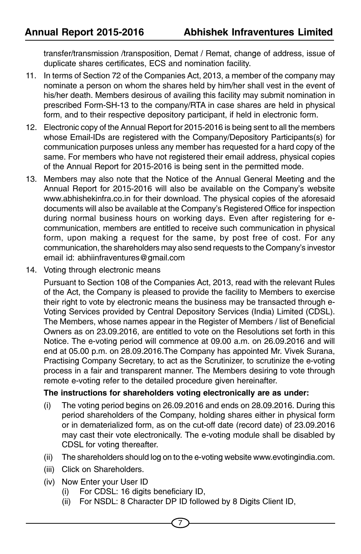transfer/transmission /transposition, Demat / Remat, change of address, issue of duplicate shares certificates, ECS and nomination facility.

- 11. In terms of Section 72 of the Companies Act, 2013, a member of the company may nominate a person on whom the shares held by him/her shall vest in the event of his/her death. Members desirous of availing this facility may submit nomination in prescribed Form-SH-13 to the company/RTA in case shares are held in physical form, and to their respective depository participant, if held in electronic form.
- 12. Electronic copy of the Annual Report for 2015-2016 is being sent to all the members whose Email-IDs are registered with the Company/Depository Participants(s) for communication purposes unless any member has requested for a hard copy of the same. For members who have not registered their email address, physical copies of the Annual Report for 2015-2016 is being sent in the permitted mode.
- 13. Members may also note that the Notice of the Annual General Meeting and the Annual Report for 2015-2016 will also be available on the Company's website www.abhishekinfra.co.in for their download. The physical copies of the aforesaid documents will also be available at the Company's Registered Office for inspection during normal business hours on working days. Even after registering for ecommunication, members are entitled to receive such communication in physical form, upon making a request for the same, by post free of cost. For any communication, the shareholders may also send requests to the Company's investor email id: abhiinfraventures@gmail.com
- 14. Voting through electronic means

Pursuant to Section 108 of the Companies Act, 2013, read with the relevant Rules of the Act, the Company is pleased to provide the facility to Members to exercise their right to vote by electronic means the business may be transacted through e-Voting Services provided by Central Depository Services (India) Limited (CDSL). The Members, whose names appear in the Register of Members / list of Beneficial Owners as on 23.09.2016, are entitled to vote on the Resolutions set forth in this Notice. The e-voting period will commence at 09.00 a.m. on 26.09.2016 and will end at 05.00 p.m. on 28.09.2016.The Company has appointed Mr. Vivek Surana, Practising Company Secretary, to act as the Scrutinizer, to scrutinize the e-voting process in a fair and transparent manner. The Members desiring to vote through remote e-voting refer to the detailed procedure given hereinafter.

#### The instructions for shareholders voting electronically are as under:

- (i) The voting period begins on 26.09.2016 and ends on 28.09.2016. During this period shareholders of the Company, holding shares either in physical form or in dematerialized form, as on the cut-off date (record date) of 23.09.2016 may cast their vote electronically. The e-voting module shall be disabled by CDSL for voting thereafter.
- (ii) The shareholders should log on to the e-voting website www.evotingindia.com.
- (iii) Click on Shareholders.
- (iv) Now Enter your User ID
	- (i) For CDSL: 16 digits beneficiary ID,
	- (ii) For NSDL: 8 Character DP ID followed by 8 Digits Client ID,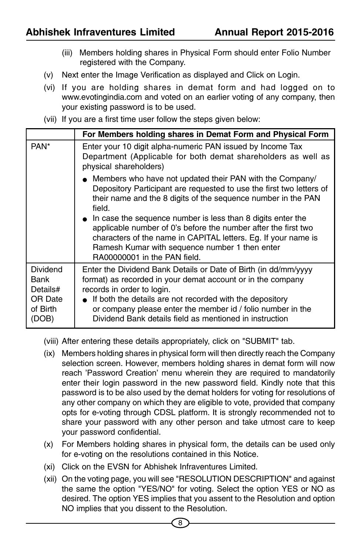- (iii) Members holding shares in Physical Form should enter Folio Number registered with the Company.
- (v) Next enter the Image Verification as displayed and Click on Login.
- (vi) If you are holding shares in demat form and had logged on to www.evotingindia.com and voted on an earlier voting of any company, then your existing password is to be used.
- (vii) If you are a first time user follow the steps given below:

|                                                              | For Members holding shares in Demat Form and Physical Form                                                                                                                                                                                                                                                                                                                                                                                                                                                   |
|--------------------------------------------------------------|--------------------------------------------------------------------------------------------------------------------------------------------------------------------------------------------------------------------------------------------------------------------------------------------------------------------------------------------------------------------------------------------------------------------------------------------------------------------------------------------------------------|
| PAN <sup>*</sup>                                             | Enter your 10 digit alpha-numeric PAN issued by Income Tax<br>Department (Applicable for both demat shareholders as well as<br>physical shareholders)                                                                                                                                                                                                                                                                                                                                                        |
|                                                              | • Members who have not updated their PAN with the Company/<br>Depository Participant are requested to use the first two letters of<br>their name and the 8 digits of the sequence number in the PAN<br>field.<br>$\bullet$ In case the sequence number is less than 8 digits enter the<br>applicable number of 0's before the number after the first two<br>characters of the name in CAPITAL letters. Eg. If your name is<br>Ramesh Kumar with sequence number 1 then enter<br>RA00000001 in the PAN field. |
| Dividend<br>Bank<br>Details#<br>OR Date<br>of Birth<br>(DOB) | Enter the Dividend Bank Details or Date of Birth (in dd/mm/yyyy<br>format) as recorded in your demat account or in the company<br>records in order to login.<br>• If both the details are not recorded with the depository<br>or company please enter the member id / folio number in the<br>Dividend Bank details field as mentioned in instruction                                                                                                                                                         |

(viii) After entering these details appropriately, click on "SUBMIT" tab.

- (ix) Members holding shares in physical form will then directly reach the Company selection screen. However, members holding shares in demat form will now reach 'Password Creation' menu wherein they are required to mandatorily enter their login password in the new password field. Kindly note that this password is to be also used by the demat holders for voting for resolutions of any other company on which they are eligible to vote, provided that company opts for e-voting through CDSL platform. It is strongly recommended not to share your password with any other person and take utmost care to keep your password confidential.
- (x) For Members holding shares in physical form, the details can be used only for e-voting on the resolutions contained in this Notice.
- (xi) Click on the EVSN for Abhishek Infraventures Limited.
- (xii) On the voting page, you will see "RESOLUTION DESCRIPTION" and against the same the option "YES/NO" for voting. Select the option YES or NO as desired. The option YES implies that you assent to the Resolution and option NO implies that you dissent to the Resolution.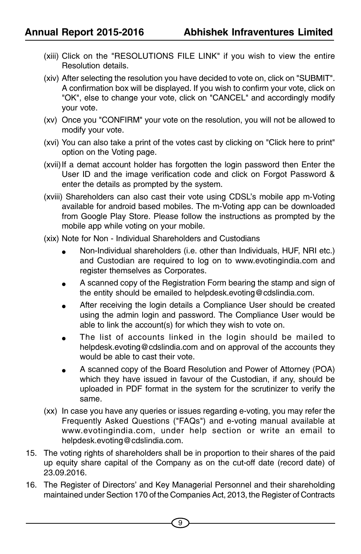- (xiii) Click on the "RESOLUTIONS FILE LINK" if you wish to view the entire Resolution details.
- (xiv) After selecting the resolution you have decided to vote on, click on "SUBMIT". A confirmation box will be displayed. If you wish to confirm your vote, click on "OK", else to change your vote, click on "CANCEL" and accordingly modify your vote.
- (xv) Once you "CONFIRM" your vote on the resolution, you will not be allowed to modify your vote.
- (xvi) You can also take a print of the votes cast by clicking on "Click here to print" option on the Voting page.
- (xvii) If a demat account holder has forgotten the login password then Enter the User ID and the image verification code and click on Forgot Password & enter the details as prompted by the system.
- (xviii) Shareholders can also cast their vote using CDSL's mobile app m-Voting available for android based mobiles. The m-Voting app can be downloaded from Google Play Store. Please follow the instructions as prompted by the mobile app while voting on your mobile.

(xix) Note for Non - Individual Shareholders and Custodians

- Non-Individual shareholders (i.e. other than Individuals, HUF, NRI etc.) and Custodian are required to log on to www.evotingindia.com and register themselves as Corporates.
- A scanned copy of the Registration Form bearing the stamp and sign of the entity should be emailed to helpdesk.evoting@cdslindia.com.
- After receiving the login details a Compliance User should be created using the admin login and password. The Compliance User would be able to link the account(s) for which they wish to vote on.
- The list of accounts linked in the login should be mailed to helpdesk.evoting@cdslindia.com and on approval of the accounts they would be able to cast their vote.
- A scanned copy of the Board Resolution and Power of Attorney (POA) which they have issued in favour of the Custodian, if any, should be uploaded in PDF format in the system for the scrutinizer to verify the same.
- (xx) In case you have any queries or issues regarding e-voting, you may refer the Frequently Asked Questions ("FAQs") and e-voting manual available at www.evotingindia.com, under help section or write an email to helpdesk.evoting@cdslindia.com.
- 15. The voting rights of shareholders shall be in proportion to their shares of the paid up equity share capital of the Company as on the cut-off date (record date) of 23.09.2016.
- 16. The Register of Directors' and Key Managerial Personnel and their shareholding maintained under Section 170 of the Companies Act, 2013, the Register of Contracts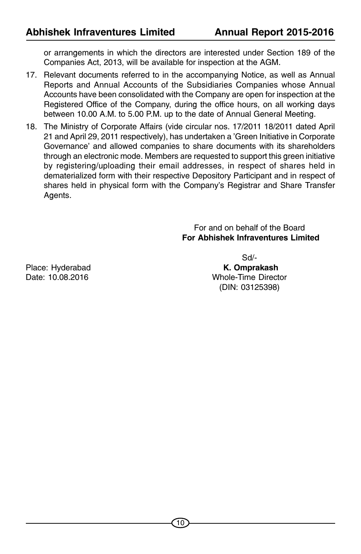or arrangements in which the directors are interested under Section 189 of the Companies Act, 2013, will be available for inspection at the AGM.

- 17. Relevant documents referred to in the accompanying Notice, as well as Annual Reports and Annual Accounts of the Subsidiaries Companies whose Annual Accounts have been consolidated with the Company are open for inspection at the Registered Office of the Company, during the office hours, on all working days between 10.00 A.M. to 5.00 P.M. up to the date of Annual General Meeting.
- 18. The Ministry of Corporate Affairs (vide circular nos. 17/2011 18/2011 dated April 21 and April 29, 2011 respectively), has undertaken a 'Green Initiative in Corporate Governance' and allowed companies to share documents with its shareholders through an electronic mode. Members are requested to support this green initiative by registering/uploading their email addresses, in respect of shares held in dematerialized form with their respective Depository Participant and in respect of shares held in physical form with the Company's Registrar and Share Transfer Agents.

For and on behalf of the Board For Abhishek Infraventures Limited

Place: Hyderabad<br>Date: 10.08.2016

Sd/-<br>**K. Omprakash** Whole-Time Director (DIN: 03125398)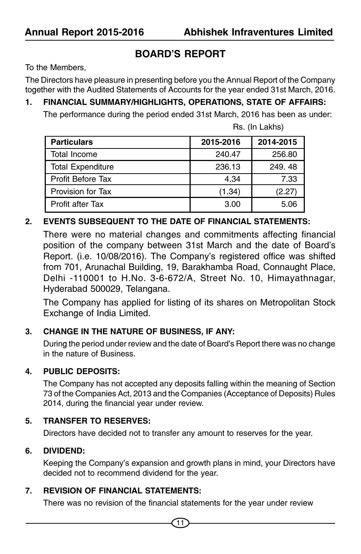# BOARD'S REPORT

To the Members,

The Directors have pleasure in presenting before you the Annual Report of the Company together with the Audited Statements of Accounts for the year ended 31st March, 2016.

# 1. FINANCIAL SUMMARY/HIGHLIGHTS, OPERATIONS, STATE OF AFFAIRS:

The performance during the period ended 31st March, 2016 has been as under:

Rs. (In Lakhs)

| <b>Particulars</b>       | 2015-2016 | 2014-2015 |
|--------------------------|-----------|-----------|
| <b>Total Income</b>      | 240.47    | 256.80    |
| <b>Total Expenditure</b> | 236.13    | 249.48    |
| Profit Before Tax        | 4.34      | 7.33      |
| Provision for Tax        | (1.34)    | (2.27)    |
| Profit after Tax         | 3.00      | 5.06      |

# 2. EVENTS SUBSEQUENT TO THE DATE OF FINANCIAL STATEMENTS:

There were no material changes and commitments affecting financial position of the company between 31st March and the date of Board's Report. (i.e. 10/08/2016). The Company's registered office was shifted from 701, Arunachal Building, 19, Barakhamba Road, Connaught Place, Delhi -110001 to H.No. 3-6-672/A, Street No. 10, Himayathnagar, Hyderabad 500029, Telangana.

The Company has applied for listing of its shares on Metropolitan Stock Exchange of India Limited.

# 3. CHANGE IN THE NATURE OF BUSINESS, IF ANY:

During the period under review and the date of Board's Report there was no change in the nature of Business.

# 4. PUBLIC DEPOSITS:

The Company has not accepted any deposits falling within the meaning of Section 73 of the Companies Act, 2013 and the Companies (Acceptance of Deposits) Rules 2014, during the financial year under review.

# 5. TRANSFER TO RESERVES:

Directors have decided not to transfer any amount to reserves for the year.

# 6. DIVIDEND:

Keeping the Company's expansion and growth plans in mind, your Directors have decided not to recommend dividend for the year.

# 7. REVISION OF FINANCIAL STATEMENTS:

There was no revision of the financial statements for the year under review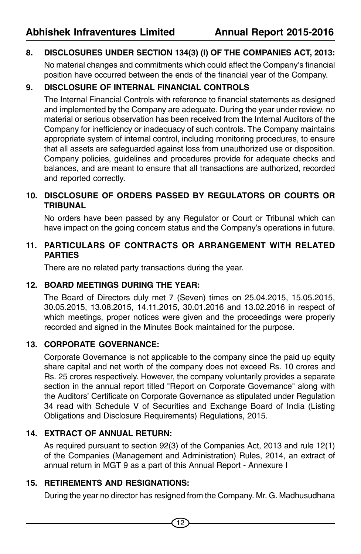## 8. DISCLOSURES UNDER SECTION 134(3) (l) OF THE COMPANIES ACT, 2013:

No material changes and commitments which could affect the Company's financial position have occurred between the ends of the financial year of the Company.

# 9. DISCLOSURE OF INTERNAL FINANCIAL CONTROLS

The Internal Financial Controls with reference to financial statements as designed and implemented by the Company are adequate. During the year under review, no material or serious observation has been received from the Internal Auditors of the Company for inefficiency or inadequacy of such controls. The Company maintains appropriate system of internal control, including monitoring procedures, to ensure that all assets are safeguarded against loss from unauthorized use or disposition. Company policies, guidelines and procedures provide for adequate checks and balances, and are meant to ensure that all transactions are authorized, recorded and reported correctly.

## 10. DISCLOSURE OF ORDERS PASSED BY REGULATORS OR COURTS OR **TRIBUNAL**

No orders have been passed by any Regulator or Court or Tribunal which can have impact on the going concern status and the Company's operations in future.

#### 11. PARTICULARS OF CONTRACTS OR ARRANGEMENT WITH RELATED PARTIES

There are no related party transactions during the year.

#### 12. BOARD MEETINGS DURING THE YEAR:

The Board of Directors duly met 7 (Seven) times on 25.04.2015, 15.05.2015, 30.05.2015, 13.08.2015, 14.11.2015, 30.01.2016 and 13.02.2016 in respect of which meetings, proper notices were given and the proceedings were properly recorded and signed in the Minutes Book maintained for the purpose.

#### 13. CORPORATE GOVERNANCE:

Corporate Governance is not applicable to the company since the paid up equity share capital and net worth of the company does not exceed Rs. 10 crores and Rs. 25 crores respectively. However, the company voluntarily provides a separate section in the annual report titled "Report on Corporate Governance" along with the Auditors' Certificate on Corporate Governance as stipulated under Regulation 34 read with Schedule V of Securities and Exchange Board of India (Listing Obligations and Disclosure Requirements) Regulations, 2015.

#### 14. EXTRACT OF ANNUAL RETURN:

As required pursuant to section 92(3) of the Companies Act, 2013 and rule 12(1) of the Companies (Management and Administration) Rules, 2014, an extract of annual return in MGT 9 as a part of this Annual Report - Annexure I

#### 15. RETIREMENTS AND RESIGNATIONS:

During the year no director has resigned from the Company. Mr. G. Madhusudhana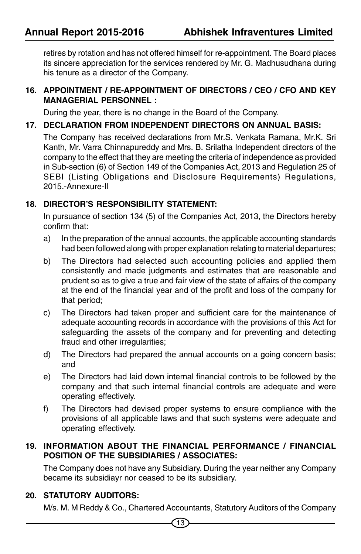retires by rotation and has not offered himself for re-appointment. The Board places its sincere appreciation for the services rendered by Mr. G. Madhusudhana during his tenure as a director of the Company.

#### 16. APPOINTMENT / RE-APPOINTMENT OF DIRECTORS / CEO / CFO AND KEY MANAGERIAL PERSONNEL :

During the year, there is no change in the Board of the Company.

## 17. DECLARATION FROM INDEPENDENT DIRECTORS ON ANNUAL BASIS:

The Company has received declarations from Mr.S. Venkata Ramana, Mr.K. Sri Kanth, Mr. Varra Chinnapureddy and Mrs. B. Srilatha Independent directors of the company to the effect that they are meeting the criteria of independence as provided in Sub-section (6) of Section 149 of the Companies Act, 2013 and Regulation 25 of SEBI (Listing Obligations and Disclosure Requirements) Regulations, 2015.-Annexure-II

# 18. DIRECTOR'S RESPONSIBILITY STATEMENT:

In pursuance of section 134 (5) of the Companies Act, 2013, the Directors hereby confirm that:

- a) In the preparation of the annual accounts, the applicable accounting standards had been followed along with proper explanation relating to material departures;
- b) The Directors had selected such accounting policies and applied them consistently and made judgments and estimates that are reasonable and prudent so as to give a true and fair view of the state of affairs of the company at the end of the financial year and of the profit and loss of the company for that period;
- c) The Directors had taken proper and sufficient care for the maintenance of adequate accounting records in accordance with the provisions of this Act for safeguarding the assets of the company and for preventing and detecting fraud and other irregularities;
- d) The Directors had prepared the annual accounts on a going concern basis; and
- e) The Directors had laid down internal financial controls to be followed by the company and that such internal financial controls are adequate and were operating effectively.
- f) The Directors had devised proper systems to ensure compliance with the provisions of all applicable laws and that such systems were adequate and operating effectively.

## 19. INFORMATION ABOUT THE FINANCIAL PERFORMANCE / FINANCIAL POSITION OF THE SUBSIDIARIES / ASSOCIATES:

The Company does not have any Subsidiary. During the year neither any Company became its subsidiayr nor ceased to be its subsidiary.

# 20. STATUTORY AUDITORS:

M/s. M. M Reddy & Co., Chartered Accountants, Statutory Auditors of the Company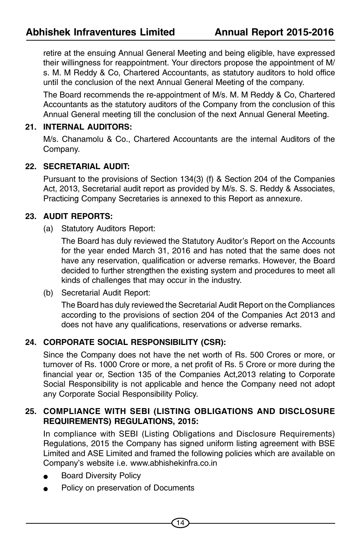retire at the ensuing Annual General Meeting and being eligible, have expressed their willingness for reappointment. Your directors propose the appointment of M/ s. M. M Reddy & Co, Chartered Accountants, as statutory auditors to hold office until the conclusion of the next Annual General Meeting of the company.

The Board recommends the re-appointment of M/s. M. M Reddy & Co, Chartered Accountants as the statutory auditors of the Company from the conclusion of this Annual General meeting till the conclusion of the next Annual General Meeting.

#### 21. INTERNAL AUDITORS:

M/s. Chanamolu & Co., Chartered Accountants are the internal Auditors of the Company.

#### 22. SECRETARIAL AUDIT:

Pursuant to the provisions of Section 134(3) (f) & Section 204 of the Companies Act, 2013, Secretarial audit report as provided by M/s. S. S. Reddy & Associates, Practicing Company Secretaries is annexed to this Report as annexure.

#### 23. AUDIT REPORTS:

(a) Statutory Auditors Report:

The Board has duly reviewed the Statutory Auditor's Report on the Accounts for the year ended March 31, 2016 and has noted that the same does not have any reservation, qualification or adverse remarks. However, the Board decided to further strengthen the existing system and procedures to meet all kinds of challenges that may occur in the industry.

(b) Secretarial Audit Report:

The Board has duly reviewed the Secretarial Audit Report on the Compliances according to the provisions of section 204 of the Companies Act 2013 and does not have any qualifications, reservations or adverse remarks.

## 24. CORPORATE SOCIAL RESPONSIBILITY (CSR):

Since the Company does not have the net worth of Rs. 500 Crores or more, or turnover of Rs. 1000 Crore or more, a net profit of Rs. 5 Crore or more during the financial year or, Section 135 of the Companies Act,2013 relating to Corporate Social Responsibility is not applicable and hence the Company need not adopt any Corporate Social Responsibility Policy.

#### 25. COMPLIANCE WITH SEBI (LISTING OBLIGATIONS AND DISCLOSURE REQUIREMENTS) REGULATIONS, 2015:

In compliance with SEBI (Listing Obligations and Disclosure Requirements) Regulations, 2015 the Company has signed uniform listing agreement with BSE Limited and ASE Limited and framed the following policies which are available on Company's website i.e. www.abhishekinfra.co.in

- Board Diversity Policy
- Policy on preservation of Documents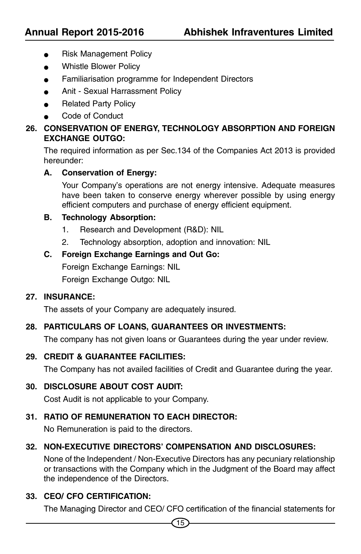- **•** Risk Management Policy
- Whistle Blower Policy
- Familiarisation programme for Independent Directors
- Anit Sexual Harrassment Policy
- Related Party Policy
- Code of Conduct

# 26. CONSERVATION OF ENERGY, TECHNOLOGY ABSORPTION AND FOREIGN EXCHANGE OUTGO:

The required information as per Sec.134 of the Companies Act 2013 is provided hereunder:

## A. Conservation of Energy:

Your Company's operations are not energy intensive. Adequate measures have been taken to conserve energy wherever possible by using energy efficient computers and purchase of energy efficient equipment.

## B. Technology Absorption:

- 1. Research and Development (R&D): NIL
- 2. Technology absorption, adoption and innovation: NIL

## C. Foreign Exchange Earnings and Out Go:

Foreign Exchange Earnings: NIL

Foreign Exchange Outgo: NIL

## 27. INSURANCE:

The assets of your Company are adequately insured.

# 28. PARTICULARS OF LOANS, GUARANTEES OR INVESTMENTS:

The company has not given loans or Guarantees during the year under review.

## 29. CREDIT & GUARANTEE FACILITIES:

The Company has not availed facilities of Credit and Guarantee during the year.

## 30. DISCLOSURE ABOUT COST AUDIT:

Cost Audit is not applicable to your Company.

# 31. RATIO OF REMUNERATION TO EACH DIRECTOR:

No Remuneration is paid to the directors.

# 32. NON-EXECUTIVE DIRECTORS' COMPENSATION AND DISCLOSURES:

None of the Independent / Non-Executive Directors has any pecuniary relationship or transactions with the Company which in the Judgment of the Board may affect the independence of the Directors.

## 33. CEO/ CFO CERTIFICATION:

The Managing Director and CEO/ CFO certification of the financial statements for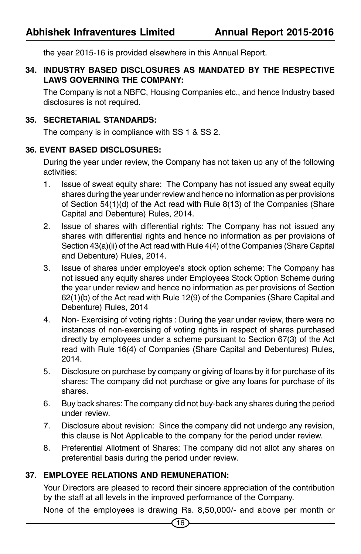the year 2015-16 is provided elsewhere in this Annual Report.

#### 34. INDUSTRY BASED DISCLOSURES AS MANDATED BY THE RESPECTIVE LAWS GOVERNING THE COMPANY:

The Company is not a NBFC, Housing Companies etc., and hence Industry based disclosures is not required.

#### 35. SECRETARIAL STANDARDS:

The company is in compliance with SS 1 & SS 2.

#### 36. EVENT BASED DISCLOSURES:

During the year under review, the Company has not taken up any of the following activities:

- 1. Issue of sweat equity share: The Company has not issued any sweat equity shares during the year under review and hence no information as per provisions of Section 54(1)(d) of the Act read with Rule 8(13) of the Companies (Share Capital and Debenture) Rules, 2014.
- 2. Issue of shares with differential rights: The Company has not issued any shares with differential rights and hence no information as per provisions of Section 43(a)(ii) of the Act read with Rule 4(4) of the Companies (Share Capital and Debenture) Rules, 2014.
- 3. Issue of shares under employee's stock option scheme: The Company has not issued any equity shares under Employees Stock Option Scheme during the year under review and hence no information as per provisions of Section 62(1)(b) of the Act read with Rule 12(9) of the Companies (Share Capital and Debenture) Rules, 2014
- 4. Non- Exercising of voting rights : During the year under review, there were no instances of non-exercising of voting rights in respect of shares purchased directly by employees under a scheme pursuant to Section 67(3) of the Act read with Rule 16(4) of Companies (Share Capital and Debentures) Rules, 2014.
- 5. Disclosure on purchase by company or giving of loans by it for purchase of its shares: The company did not purchase or give any loans for purchase of its shares.
- 6. Buy back shares: The company did not buy-back any shares during the period under review.
- 7. Disclosure about revision: Since the company did not undergo any revision, this clause is Not Applicable to the company for the period under review.
- 8. Preferential Allotment of Shares: The company did not allot any shares on preferential basis during the period under review.

#### 37. EMPLOYEE RELATIONS AND REMUNERATION:

Your Directors are pleased to record their sincere appreciation of the contribution by the staff at all levels in the improved performance of the Company.

None of the employees is drawing Rs. 8,50,000/- and above per month or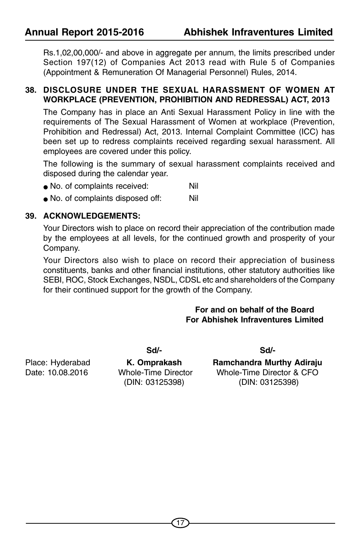Rs.1,02,00,000/- and above in aggregate per annum, the limits prescribed under Section 197(12) of Companies Act 2013 read with Rule 5 of Companies (Appointment & Remuneration Of Managerial Personnel) Rules, 2014.

#### 38. DISCLOSURE UNDER THE SEXUAL HARASSMENT OF WOMEN AT WORKPLACE (PREVENTION, PROHIBITION AND REDRESSAL) ACT, 2013

The Company has in place an Anti Sexual Harassment Policy in line with the requirements of The Sexual Harassment of Women at workplace (Prevention, Prohibition and Redressal) Act, 2013. Internal Complaint Committee (ICC) has been set up to redress complaints received regarding sexual harassment. All employees are covered under this policy.

The following is the summary of sexual harassment complaints received and disposed during the calendar year.

- No. of complaints received: Nil
- No. of complaints disposed off: Nil

#### 39. ACKNOWLEDGEMENTS:

Your Directors wish to place on record their appreciation of the contribution made by the employees at all levels, for the continued growth and prosperity of your Company.

Your Directors also wish to place on record their appreciation of business constituents, banks and other financial institutions, other statutory authorities like SEBI, ROC, Stock Exchanges, NSDL, CDSL etc and shareholders of the Company for their continued support for the growth of the Company.

#### For and on behalf of the Board For Abhishek Infraventures Limited

Sd/- Sd/- Place: Hyderabad K. Omprakash Ramchandra Murthy Adiraju Date: 10.08.2016 Whole-Time Director Whole-Time Director & CFO (DIN: 03125398) (DIN: 03125398)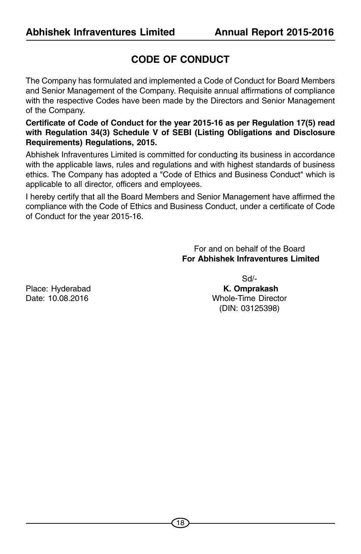# CODE OF CONDUCT

The Company has formulated and implemented a Code of Conduct for Board Members and Senior Management of the Company. Requisite annual affirmations of compliance with the respective Codes have been made by the Directors and Senior Management of the Company.

Certificate of Code of Conduct for the year 2015-16 as per Regulation 17(5) read with Regulation 34(3) Schedule V of SEBI (Listing Obligations and Disclosure Requirements) Regulations, 2015.

Abhishek Infraventures Limited is committed for conducting its business in accordance with the applicable laws, rules and regulations and with highest standards of business ethics. The Company has adopted a "Code of Ethics and Business Conduct" which is applicable to all director, officers and employees.

I hereby certify that all the Board Members and Senior Management have affirmed the compliance with the Code of Ethics and Business Conduct, under a certificate of Code of Conduct for the year 2015-16.

> For and on behalf of the Board For Abhishek Infraventures Limited

> > Sd/-

Place: Hyderabad **K. Omprakash**<br>
Date: 10.08.2016 **K. Omprakash** Whole-Time Director (DIN: 03125398)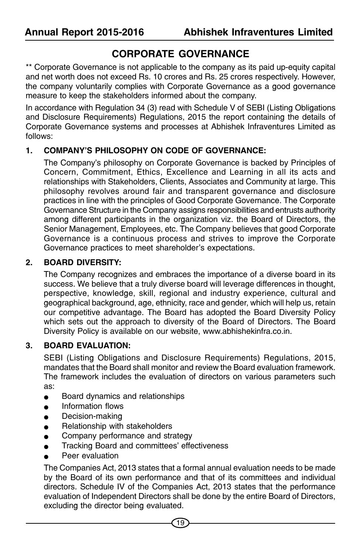# CORPORATE GOVERNANCE

\*\* Corporate Governance is not applicable to the company as its paid up-equity capital and net worth does not exceed Rs. 10 crores and Rs. 25 crores respectively. However, the company voluntarily complies with Corporate Governance as a good governance measure to keep the stakeholders informed about the company.

In accordance with Regulation 34 (3) read with Schedule V of SEBI (Listing Obligations and Disclosure Requirements) Regulations, 2015 the report containing the details of Corporate Governance systems and processes at Abhishek Infraventures Limited as follows:

#### 1. COMPANY'S PHILOSOPHY ON CODE OF GOVERNANCE:

The Company's philosophy on Corporate Governance is backed by Principles of Concern, Commitment, Ethics, Excellence and Learning in all its acts and relationships with Stakeholders, Clients, Associates and Community at large. This philosophy revolves around fair and transparent governance and disclosure practices in line with the principles of Good Corporate Governance. The Corporate Governance Structure in the Company assigns responsibilities and entrusts authority among different participants in the organization viz. the Board of Directors, the Senior Management, Employees, etc. The Company believes that good Corporate Governance is a continuous process and strives to improve the Corporate Governance practices to meet shareholder's expectations.

#### 2. BOARD DIVERSITY:

The Company recognizes and embraces the importance of a diverse board in its success. We believe that a truly diverse board will leverage differences in thought, perspective, knowledge, skill, regional and industry experience, cultural and geographical background, age, ethnicity, race and gender, which will help us, retain our competitive advantage. The Board has adopted the Board Diversity Policy which sets out the approach to diversity of the Board of Directors. The Board Diversity Policy is available on our website, www.abhishekinfra.co.in.

#### 3. BOARD EVALUATION:

SEBI (Listing Obligations and Disclosure Requirements) Regulations, 2015, mandates that the Board shall monitor and review the Board evaluation framework. The framework includes the evaluation of directors on various parameters such as:

- Board dynamics and relationships
- Information flows
- Decision-making
- Relationship with stakeholders
- Company performance and strategy
- Tracking Board and committees' effectiveness
- Peer evaluation

The Companies Act, 2013 states that a formal annual evaluation needs to be made by the Board of its own performance and that of its committees and individual directors. Schedule IV of the Companies Act, 2013 states that the performance evaluation of Independent Directors shall be done by the entire Board of Directors, excluding the director being evaluated.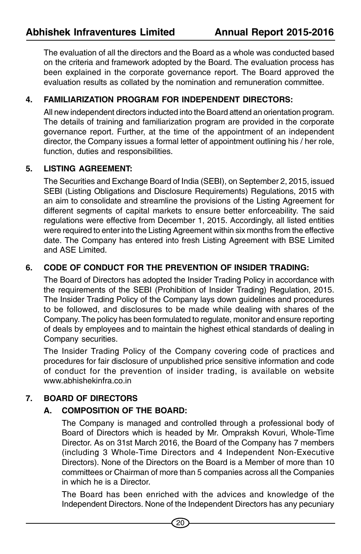The evaluation of all the directors and the Board as a whole was conducted based on the criteria and framework adopted by the Board. The evaluation process has been explained in the corporate governance report. The Board approved the evaluation results as collated by the nomination and remuneration committee.

# 4. FAMILIARIZATION PROGRAM FOR INDEPENDENT DIRECTORS:

All new independent directors inducted into the Board attend an orientation program. The details of training and familiarization program are provided in the corporate governance report. Further, at the time of the appointment of an independent director, the Company issues a formal letter of appointment outlining his / her role, function, duties and responsibilities.

## 5. LISTING AGREEMENT:

The Securities and Exchange Board of India (SEBI), on September 2, 2015, issued SEBI (Listing Obligations and Disclosure Requirements) Regulations, 2015 with an aim to consolidate and streamline the provisions of the Listing Agreement for different segments of capital markets to ensure better enforceability. The said regulations were effective from December 1, 2015. Accordingly, all listed entities were required to enter into the Listing Agreement within six months from the effective date. The Company has entered into fresh Listing Agreement with BSE Limited and ASE Limited.

## 6. CODE OF CONDUCT FOR THE PREVENTION OF INSIDER TRADING:

The Board of Directors has adopted the Insider Trading Policy in accordance with the requirements of the SEBI (Prohibition of Insider Trading) Regulation, 2015. The Insider Trading Policy of the Company lays down guidelines and procedures to be followed, and disclosures to be made while dealing with shares of the Company. The policy has been formulated to regulate, monitor and ensure reporting of deals by employees and to maintain the highest ethical standards of dealing in Company securities.

The Insider Trading Policy of the Company covering code of practices and procedures for fair disclosure of unpublished price sensitive information and code of conduct for the prevention of insider trading, is available on website www.abhishekinfra.co.in

## 7. BOARD OF DIRECTORS

## A. COMPOSITION OF THE BOARD:

The Company is managed and controlled through a professional body of Board of Directors which is headed by Mr. Ompraksh Kovuri, Whole-Time Director. As on 31st March 2016, the Board of the Company has 7 members (including 3 Whole-Time Directors and 4 Independent Non-Executive Directors). None of the Directors on the Board is a Member of more than 10 committees or Chairman of more than 5 companies across all the Companies in which he is a Director.

The Board has been enriched with the advices and knowledge of the Independent Directors. None of the Independent Directors has any pecuniary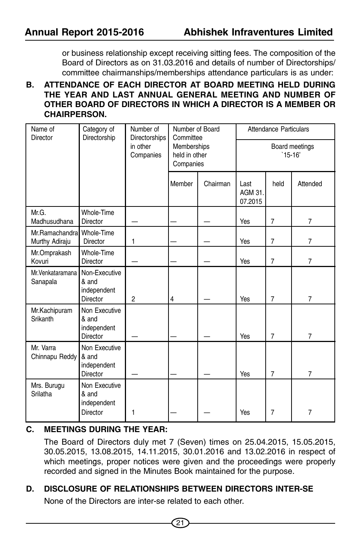or business relationship except receiving sitting fees. The composition of the Board of Directors as on 31.03.2016 and details of number of Directorships/ committee chairmanships/memberships attendance particulars is as under:

#### B. ATTENDANCE OF EACH DIRECTOR AT BOARD MEETING HELD DURING THE YEAR AND LAST ANNUAL GENERAL MEETING AND NUMBER OF OTHER BOARD OF DIRECTORS IN WHICH A DIRECTOR IS A MEMBER OR CHAIRPERSON.

| Name of<br><b>Director</b>                  | Category of<br>Directorship                              | Number of<br>Directorships | Number of Board<br>Committee              |          | <b>Attendance Particulars</b> |                |                |
|---------------------------------------------|----------------------------------------------------------|----------------------------|-------------------------------------------|----------|-------------------------------|----------------|----------------|
|                                             |                                                          | in other<br>Companies      | Memberships<br>held in other<br>Companies |          |                               | $15 - 16'$     | Board meetings |
|                                             |                                                          |                            | Member                                    | Chairman | Last<br>AGM 31.<br>07.2015    | held           | Attended       |
| Mr.G.<br>Madhusudhana                       | Whole-Time<br>Director                                   |                            |                                           |          | Yes                           | $\overline{7}$ | $\overline{7}$ |
| Mr.Ramachandra Whole-Time<br>Murthy Adiraju | Director                                                 | 1                          |                                           |          | Yes                           | $\overline{7}$ | $\overline{7}$ |
| Mr.Omprakash<br>Kovuri                      | Whole-Time<br>Director                                   |                            |                                           |          | Yes                           | $\overline{7}$ | $\overline{7}$ |
| Mr.Venkataramana<br>Sanapala                | Non-Executive<br>& and<br>independent<br><b>Director</b> | $\overline{2}$             | 4                                         |          | Yes                           | $\overline{7}$ | $\overline{7}$ |
| Mr.Kachipuram<br>Srikanth                   | Non Executive<br>& and<br>independent<br><b>Director</b> |                            |                                           |          | Yes                           | $\overline{7}$ | $\overline{7}$ |
| Mr. Varra<br>Chinnapu Reddy                 | Non Executive<br>& and<br>independent<br>Director        |                            |                                           |          | Yes                           | $\overline{7}$ | $\overline{7}$ |
| Mrs. Burugu<br>Srilatha                     | Non Executive<br>& and<br>independent<br><b>Director</b> | 1                          |                                           |          | Yes                           | $\overline{7}$ | $\overline{7}$ |

# C. MEETINGS DURING THE YEAR:

The Board of Directors duly met 7 (Seven) times on 25.04.2015, 15.05.2015, 30.05.2015, 13.08.2015, 14.11.2015, 30.01.2016 and 13.02.2016 in respect of which meetings, proper notices were given and the proceedings were properly recorded and signed in the Minutes Book maintained for the purpose.

# D. DISCLOSURE OF RELATIONSHIPS BETWEEN DIRECTORS INTER-SE

None of the Directors are inter-se related to each other.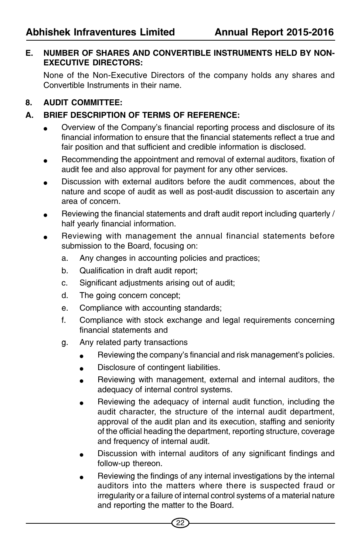#### E. NUMBER OF SHARES AND CONVERTIBLE INSTRUMENTS HELD BY NON-EXECUTIVE DIRECTORS:

None of the Non-Executive Directors of the company holds any shares and Convertible Instruments in their name.

## 8. AUDIT COMMITTEE:

## A. BRIEF DESCRIPTION OF TERMS OF REFERENCE:

- Overview of the Company's financial reporting process and disclosure of its financial information to ensure that the financial statements reflect a true and fair position and that sufficient and credible information is disclosed.
- Recommending the appointment and removal of external auditors, fixation of audit fee and also approval for payment for any other services.
- Discussion with external auditors before the audit commences, about the nature and scope of audit as well as post-audit discussion to ascertain any area of concern.
- Reviewing the financial statements and draft audit report including quarterly / half yearly financial information.
- Reviewing with management the annual financial statements before submission to the Board, focusing on:
	- a. Any changes in accounting policies and practices;
	- b. Qualification in draft audit report;
	- c. Significant adjustments arising out of audit;
	- d. The going concern concept;
	- e. Compliance with accounting standards;
	- f. Compliance with stock exchange and legal requirements concerning financial statements and
	- g. Any related party transactions
		- **•** Reviewing the company's financial and risk management's policies.
		- Disclosure of contingent liabilities.
		- Reviewing with management, external and internal auditors, the adequacy of internal control systems.
		- Reviewing the adequacy of internal audit function, including the audit character, the structure of the internal audit department, approval of the audit plan and its execution, staffing and seniority of the official heading the department, reporting structure, coverage and frequency of internal audit.
		- Discussion with internal auditors of any significant findings and follow-up thereon.
		- Reviewing the findings of any internal investigations by the internal auditors into the matters where there is suspected fraud or irregularity or a failure of internal control systems of a material nature and reporting the matter to the Board.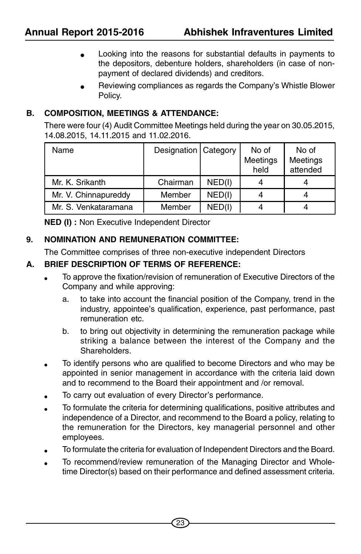- Looking into the reasons for substantial defaults in payments to the depositors, debenture holders, shareholders (in case of nonpayment of declared dividends) and creditors.
- Reviewing compliances as regards the Company's Whistle Blower Policy.

## B. COMPOSITION, MEETINGS & ATTENDANCE:

There were four (4) Audit Committee Meetings held during the year on 30.05.2015, 14.08.2015, 14.11.2015 and 11.02.2016.

| Name                 | Designation   Category |        | No of<br>Meetings<br>held | No of<br>Meetings<br>attended |
|----------------------|------------------------|--------|---------------------------|-------------------------------|
| Mr. K. Srikanth      | Chairman               | NED(1) |                           |                               |
| Mr. V. Chinnapureddy | Member                 | NED(1) |                           |                               |
| Mr. S. Venkataramana | Member                 | NED(1) |                           |                               |

NED (I) : Non Executive Independent Director

# 9. NOMINATION AND REMUNERATION COMMITTEE:

The Committee comprises of three non-executive independent Directors

## A. BRIEF DESCRIPTION OF TERMS OF REFERENCE:

- To approve the fixation/revision of remuneration of Executive Directors of the Company and while approving:
	- a. to take into account the financial position of the Company, trend in the industry, appointee's qualification, experience, past performance, past remuneration etc.
	- b. to bring out objectivity in determining the remuneration package while striking a balance between the interest of the Company and the Shareholders.
- To identify persons who are qualified to become Directors and who may be appointed in senior management in accordance with the criteria laid down and to recommend to the Board their appointment and /or removal.
- To carry out evaluation of every Director's performance.
- To formulate the criteria for determining qualifications, positive attributes and independence of a Director, and recommend to the Board a policy, relating to the remuneration for the Directors, key managerial personnel and other employees.
- To formulate the criteria for evaluation of Independent Directors and the Board.
- To recommend/review remuneration of the Managing Director and Wholetime Director(s) based on their performance and defined assessment criteria.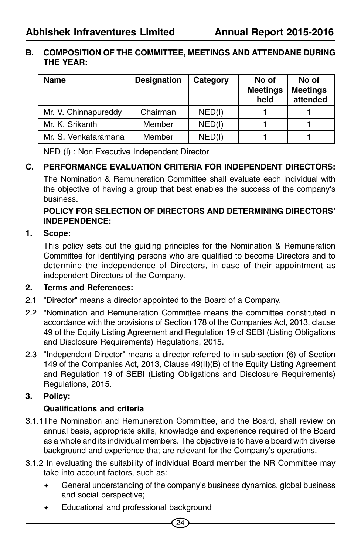#### B. COMPOSITION OF THE COMMITTEE, MEETINGS AND ATTENDANE DURING THE YEAR:

| <b>Name</b>          | <b>Designation</b> | Category | No of<br><b>Meetings</b><br>held | No of<br><b>Meetings</b><br>attended |
|----------------------|--------------------|----------|----------------------------------|--------------------------------------|
| Mr. V. Chinnapureddy | Chairman           | NED(I)   |                                  |                                      |
| Mr. K. Srikanth      | Member             | NED(I)   |                                  |                                      |
| Mr. S. Venkataramana | Member             | NED(I)   |                                  |                                      |

NED (I) : Non Executive Independent Director

#### C. PERFORMANCE EVALUATION CRITERIA FOR INDEPENDENT DIRECTORS:

The Nomination & Remuneration Committee shall evaluate each individual with the objective of having a group that best enables the success of the company's business.

#### POLICY FOR SELECTION OF DIRECTORS AND DETERMINING DIRECTORS' INDEPENDENCE:

#### 1. Scope:

This policy sets out the guiding principles for the Nomination & Remuneration Committee for identifying persons who are qualified to become Directors and to determine the independence of Directors, in case of their appointment as independent Directors of the Company.

#### 2. Terms and References:

- 2.1 "Director" means a director appointed to the Board of a Company.
- 2.2 "Nomination and Remuneration Committee means the committee constituted in accordance with the provisions of Section 178 of the Companies Act, 2013, clause 49 of the Equity Listing Agreement and Regulation 19 of SEBI (Listing Obligations and Disclosure Requirements) Regulations, 2015.
- 2.3 "Independent Director" means a director referred to in sub-section (6) of Section 149 of the Companies Act, 2013, Clause 49(II)(B) of the Equity Listing Agreement and Regulation 19 of SEBI (Listing Obligations and Disclosure Requirements) Regulations, 2015.

#### 3. Policy:

#### Qualifications and criteria

- 3.1.1The Nomination and Remuneration Committee, and the Board, shall review on annual basis, appropriate skills, knowledge and experience required of the Board as a whole and its individual members. The objective is to have a board with diverse background and experience that are relevant for the Company's operations.
- 3.1.2 In evaluating the suitability of individual Board member the NR Committee may take into account factors, such as:
	- ✦ General understanding of the company's business dynamics, global business and social perspective;
	- ✦ Educational and professional background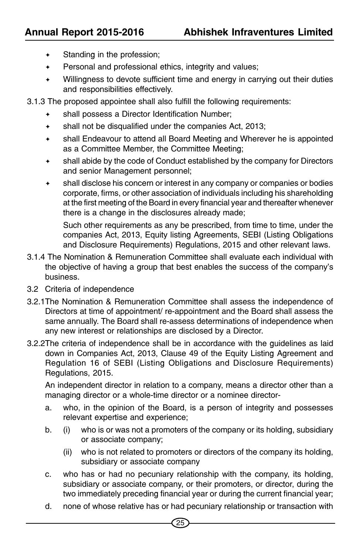- ✦ Standing in the profession;
- ✦ Personal and professional ethics, integrity and values;
- ✦ Willingness to devote sufficient time and energy in carrying out their duties and responsibilities effectively.

3.1.3 The proposed appointee shall also fulfill the following requirements:

- ✦ shall possess a Director Identification Number;
- ✦ shall not be disqualified under the companies Act, 2013;
- ✦ shall Endeavour to attend all Board Meeting and Wherever he is appointed as a Committee Member, the Committee Meeting;
- ✦ shall abide by the code of Conduct established by the company for Directors and senior Management personnel;
- ✦ shall disclose his concern or interest in any company or companies or bodies corporate, firms, or other association of individuals including his shareholding at the first meeting of the Board in every financial year and thereafter whenever there is a change in the disclosures already made;

Such other requirements as any be prescribed, from time to time, under the companies Act, 2013, Equity listing Agreements, SEBI (Listing Obligations and Disclosure Requirements) Regulations, 2015 and other relevant laws.

- 3.1.4 The Nomination & Remuneration Committee shall evaluate each individual with the objective of having a group that best enables the success of the company's business.
- 3.2 Criteria of independence
- 3.2.1The Nomination & Remuneration Committee shall assess the independence of Directors at time of appointment/ re-appointment and the Board shall assess the same annually. The Board shall re-assess determinations of independence when any new interest or relationships are disclosed by a Director.
- 3.2.2The criteria of independence shall be in accordance with the guidelines as laid down in Companies Act, 2013, Clause 49 of the Equity Listing Agreement and Regulation 16 of SEBI (Listing Obligations and Disclosure Requirements) Regulations, 2015.

An independent director in relation to a company, means a director other than a managing director or a whole-time director or a nominee director-

- a. who, in the opinion of the Board, is a person of integrity and possesses relevant expertise and experience;
- b. (i) who is or was not a promoters of the company or its holding, subsidiary or associate company;
	- (ii) who is not related to promoters or directors of the company its holding, subsidiary or associate company
- c. who has or had no pecuniary relationship with the company, its holding, subsidiary or associate company, or their promoters, or director, during the two immediately preceding financial year or during the current financial year;
- d. none of whose relative has or had pecuniary relationship or transaction with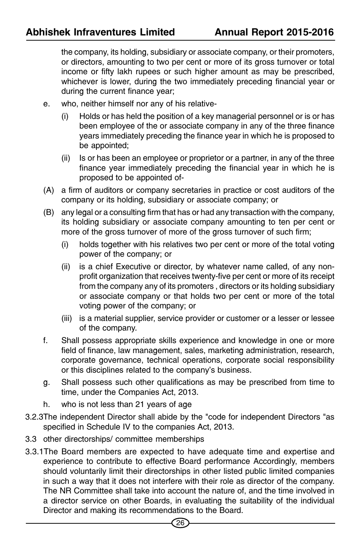the company, its holding, subsidiary or associate company, or their promoters, or directors, amounting to two per cent or more of its gross turnover or total income or fifty lakh rupees or such higher amount as may be prescribed, whichever is lower, during the two immediately preceding financial year or during the current finance year;

- e. who, neither himself nor any of his relative-
	- (i) Holds or has held the position of a key managerial personnel or is or has been employee of the or associate company in any of the three finance years immediately preceding the finance year in which he is proposed to be appointed;
	- (ii) Is or has been an employee or proprietor or a partner, in any of the three finance year immediately preceding the financial year in which he is proposed to be appointed of-
- (A) a firm of auditors or company secretaries in practice or cost auditors of the company or its holding, subsidiary or associate company; or
- (B) any legal or a consulting firm that has or had any transaction with the company, its holding subsidiary or associate company amounting to ten per cent or more of the gross turnover of more of the gross turnover of such firm;
	- (i) holds together with his relatives two per cent or more of the total voting power of the company; or
	- (ii) is a chief Executive or director, by whatever name called, of any nonprofit organization that receives twenty-five per cent or more of its receipt from the company any of its promoters , directors or its holding subsidiary or associate company or that holds two per cent or more of the total voting power of the company; or
	- (iii) is a material supplier, service provider or customer or a lesser or lessee of the company.
- f. Shall possess appropriate skills experience and knowledge in one or more field of finance, law management, sales, marketing administration, research, corporate governance, technical operations, corporate social responsibility or this disciplines related to the company's business.
- g. Shall possess such other qualifications as may be prescribed from time to time, under the Companies Act, 2013.
- h. who is not less than 21 years of age
- 3.2.3The independent Director shall abide by the "code for independent Directors "as specified in Schedule IV to the companies Act, 2013.
- 3.3 other directorships/ committee memberships
- 3.3.1The Board members are expected to have adequate time and expertise and experience to contribute to effective Board performance Accordingly, members should voluntarily limit their directorships in other listed public limited companies in such a way that it does not interfere with their role as director of the company. The NR Committee shall take into account the nature of, and the time involved in a director service on other Boards, in evaluating the suitability of the individual Director and making its recommendations to the Board.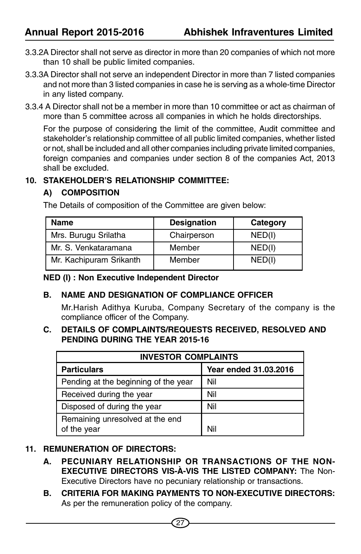- 3.3.2A Director shall not serve as director in more than 20 companies of which not more than 10 shall be public limited companies.
- 3.3.3A Director shall not serve an independent Director in more than 7 listed companies and not more than 3 listed companies in case he is serving as a whole-time Director in any listed company.
- 3.3.4 A Director shall not be a member in more than 10 committee or act as chairman of more than 5 committee across all companies in which he holds directorships.

For the purpose of considering the limit of the committee, Audit committee and stakeholder's relationship committee of all public limited companies, whether listed or not, shall be included and all other companies including private limited companies, foreign companies and companies under section 8 of the companies Act, 2013 shall be excluded.

## 10. STAKEHOLDER'S RELATIONSHIP COMMITTEE:

## A) COMPOSITION

The Details of composition of the Committee are given below:

| <b>Name</b>             | <b>Designation</b> | Category |
|-------------------------|--------------------|----------|
| Mrs. Burugu Srilatha    | Chairperson        | NED(I)   |
| l Mr. S. Venkataramana  | Member             | NED(I)   |
| Mr. Kachipuram Srikanth | Member             | NED(I)   |

#### NED (I) : Non Executive Independent Director

## B. NAME AND DESIGNATION OF COMPLIANCE OFFICER

Mr.Harish Adithya Kuruba, Company Secretary of the company is the compliance officer of the Company.

#### C. DETAILS OF COMPLAINTS/REQUESTS RECEIVED, RESOLVED AND PENDING DURING THE YEAR 2015-16

| <b>INVESTOR COMPLAINTS</b>                     |                       |  |  |  |  |
|------------------------------------------------|-----------------------|--|--|--|--|
| <b>Particulars</b>                             | Year ended 31.03.2016 |  |  |  |  |
| Pending at the beginning of the year           | Nil                   |  |  |  |  |
| Received during the year                       | Nil                   |  |  |  |  |
| Disposed of during the year                    | Nil                   |  |  |  |  |
| Remaining unresolved at the end<br>of the year | Nil                   |  |  |  |  |

# 11. REMUNERATION OF DIRECTORS:

- A. PECUNIARY RELATIONSHIP OR TRANSACTIONS OF THE NON-EXECUTIVE DIRECTORS VIS-À-VIS THE LISTED COMPANY: The Non-Executive Directors have no pecuniary relationship or transactions.
- B. CRITERIA FOR MAKING PAYMENTS TO NON-EXECUTIVE DIRECTORS: As per the remuneration policy of the company.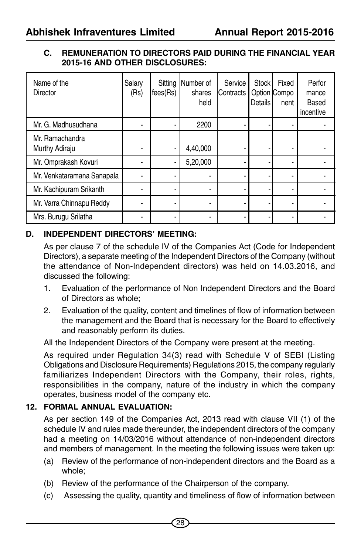#### C. REMUNERATION TO DIRECTORS PAID DURING THE FINANCIAL YEAR 2015-16 AND OTHER DISCLOSURES:

| Name of the<br>Director           | Salary<br>(Rs) | fees(Rs) | Sitting Number of<br>shares<br>held | Service<br>Contracts | Stock<br>Details | Fixed<br>Option Compo<br>nent | Perfor<br>mance<br>Based<br>incentive |
|-----------------------------------|----------------|----------|-------------------------------------|----------------------|------------------|-------------------------------|---------------------------------------|
| Mr. G. Madhusudhana               |                |          | 2200                                |                      |                  |                               |                                       |
| Mr. Ramachandra<br>Murthy Adiraju |                |          | 4,40,000                            |                      |                  | ٠                             |                                       |
| Mr. Omprakash Kovuri              |                |          | 5,20,000                            |                      |                  | ٠                             |                                       |
| Mr. Venkataramana Sanapala        |                |          |                                     |                      |                  |                               |                                       |
| Mr. Kachipuram Srikanth           |                |          | ٠                                   |                      |                  | ٠                             |                                       |
| Mr. Varra Chinnapu Reddy          |                |          | ٠                                   |                      |                  | ٠                             |                                       |
| Mrs. Burugu Srilatha              |                |          |                                     |                      |                  | ٠                             |                                       |

## D. INDEPENDENT DIRECTORS' MEETING:

As per clause 7 of the schedule IV of the Companies Act (Code for Independent Directors), a separate meeting of the Independent Directors of the Company (without the attendance of Non-Independent directors) was held on 14.03.2016, and discussed the following:

- 1. Evaluation of the performance of Non Independent Directors and the Board of Directors as whole;
- 2. Evaluation of the quality, content and timelines of flow of information between the management and the Board that is necessary for the Board to effectively and reasonably perform its duties.

All the Independent Directors of the Company were present at the meeting.

As required under Regulation 34(3) read with Schedule V of SEBI (Listing Obligations and Disclosure Requirements) Regulations 2015, the company regularly familiarizes Independent Directors with the Company, their roles, rights, responsibilities in the company, nature of the industry in which the company operates, business model of the company etc.

# 12. FORMAL ANNUAL EVALUATION:

As per section 149 of the Companies Act, 2013 read with clause VII (1) of the schedule IV and rules made thereunder, the independent directors of the company had a meeting on 14/03/2016 without attendance of non-independent directors and members of management. In the meeting the following issues were taken up:

- (a) Review of the performance of non-independent directors and the Board as a whole;
- (b) Review of the performance of the Chairperson of the company.
- (c) Assessing the quality, quantity and timeliness of flow of information between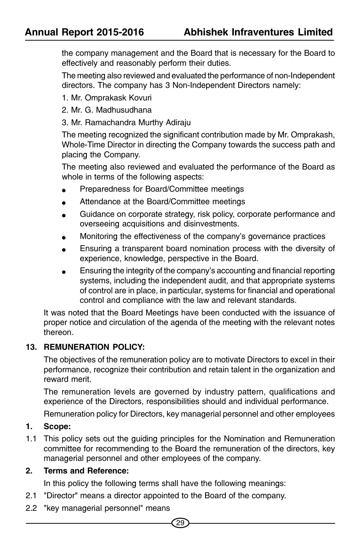the company management and the Board that is necessary for the Board to effectively and reasonably perform their duties.

The meeting also reviewed and evaluated the performance of non-Independent directors. The company has 3 Non-Independent Directors namely:

- 1. Mr. Omprakask Kovuri
- 2. Mr. G. Madhusudhana
- 3. Mr. Ramachandra Murthy Adiraju

The meeting recognized the significant contribution made by Mr. Omprakash, Whole-Time Director in directing the Company towards the success path and placing the Company.

The meeting also reviewed and evaluated the performance of the Board as whole in terms of the following aspects:

- Preparedness for Board/Committee meetings
- Attendance at the Board/Committee meetings
- Guidance on corporate strategy, risk policy, corporate performance and overseeing acquisitions and disinvestments.
- Monitoring the effectiveness of the company's governance practices
- Ensuring a transparent board nomination process with the diversity of experience, knowledge, perspective in the Board.
- Ensuring the integrity of the company's accounting and financial reporting systems, including the independent audit, and that appropriate systems of control are in place, in particular, systems for financial and operational control and compliance with the law and relevant standards.

It was noted that the Board Meetings have been conducted with the issuance of proper notice and circulation of the agenda of the meeting with the relevant notes thereon.

## 13. REMUNERATION POLICY:

The objectives of the remuneration policy are to motivate Directors to excel in their performance, recognize their contribution and retain talent in the organization and reward merit.

The remuneration levels are governed by industry pattern, qualifications and experience of the Directors, responsibilities should and individual performance.

Remuneration policy for Directors, key managerial personnel and other employees

## 1. Scope:

1.1 This policy sets out the guiding principles for the Nomination and Remuneration committee for recommending to the Board the remuneration of the directors, key managerial personnel and other employees of the company.

#### 2. Terms and Reference:

In this policy the following terms shall have the following meanings:

- 2.1 "Director" means a director appointed to the Board of the company.
- 2.2 "key managerial personnel" means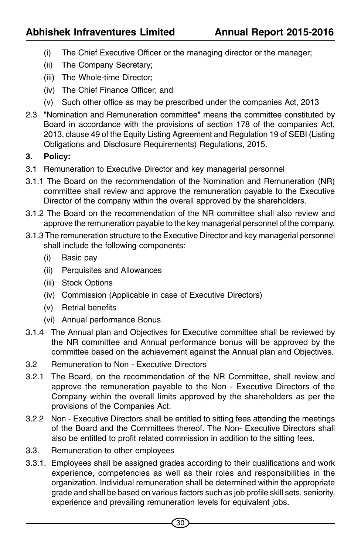- (i) The Chief Executive Officer or the managing director or the manager;
- (ii) The Company Secretary;
- (iii) The Whole-time Director;
- (iv) The Chief Finance Officer; and
- (v) Such other office as may be prescribed under the companies Act, 2013
- 2.3 "Nomination and Remuneration committee" means the committee constituted by Board in accordance with the provisions of section 178 of the companies Act, 2013, clause 49 of the Equity Listing Agreement and Regulation 19 of SEBI (Listing Obligations and Disclosure Requirements) Regulations, 2015.

#### 3. Policy:

- 3.1 Remuneration to Executive Director and key managerial personnel
- 3.1.1 The Board on the recommendation of the Nomination and Remuneration (NR) committee shall review and approve the remuneration payable to the Executive Director of the company within the overall approved by the shareholders.
- 3.1.2 The Board on the recommendation of the NR committee shall also review and approve the remuneration payable to the key managerial personnel of the company.
- 3.1.3 The remuneration structure to the Executive Director and key managerial personnel shall include the following components:
	- (i) Basic pay
	- (ii) Perquisites and Allowances
	- (iii) Stock Options
	- (iv) Commission (Applicable in case of Executive Directors)
	- (v) Retrial benefits
	- (vi) Annual performance Bonus
- 3.1.4 The Annual plan and Objectives for Executive committee shall be reviewed by the NR committee and Annual performance bonus will be approved by the committee based on the achievement against the Annual plan and Objectives.
- 3.2 Remuneration to Non Executive Directors
- 3.2.1 The Board, on the recommendation of the NR Committee, shall review and approve the remuneration payable to the Non - Executive Directors of the Company within the overall limits approved by the shareholders as per the provisions of the Companies Act.
- 3.2.2 Non Executive Directors shall be entitled to sitting fees attending the meetings of the Board and the Committees thereof. The Non- Executive Directors shall also be entitled to profit related commission in addition to the sitting fees.
- 3.3. Remuneration to other employees
- 3.3.1. Employees shall be assigned grades according to their qualifications and work experience, competencies as well as their roles and responsibilities in the organization. Individual remuneration shall be determined within the appropriate grade and shall be based on various factors such as job profile skill sets, seniority, experience and prevailing remuneration levels for equivalent jobs.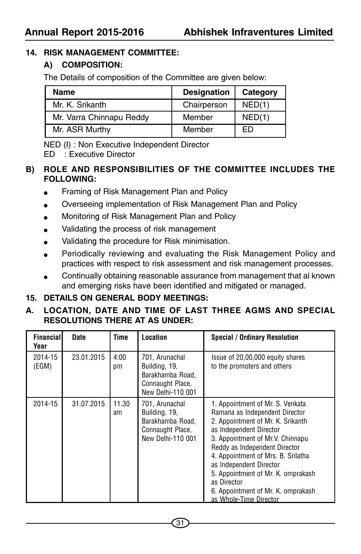## 14. RISK MANAGEMENT COMMITTEE:

## A) COMPOSITION:

The Details of composition of the Committee are given below:

| Name                     | <b>Designation</b> | Category |
|--------------------------|--------------------|----------|
| Mr. K. Srikanth          | Chairperson        | NED(1)   |
| Mr. Varra Chinnapu Reddy | Member             | NED(1)   |
| Mr. ASR Murthy           | Member             | FD.      |

NED (I) : Non Executive Independent Director

ED : Executive Director

## B) ROLE AND RESPONSIBILITIES OF THE COMMITTEE INCLUDES THE FOLLOWING:

- Framing of Risk Management Plan and Policy
- Overseeing implementation of Risk Management Plan and Policy
- Monitoring of Risk Management Plan and Policy
- Validating the process of risk management
- Validating the procedure for Risk minimisation.
- Periodically reviewing and evaluating the Risk Management Policy and practices with respect to risk assessment and risk management processes.
- Continually obtaining reasonable assurance from management that al known and emerging risks have been identified and mitigated or managed.

# 15. DETAILS ON GENERAL BODY MEETINGS:

## A. LOCATION, DATE AND TIME OF LAST THREE AGMS AND SPECIAL RESOLUTIONS THERE AT AS UNDER:

| Financiall<br>Year | <b>Date</b> | Time        | Location                                                                                     | <b>Special / Ordinary Resolution</b>                                                                                                                                                                                                                                                                                                                                                          |
|--------------------|-------------|-------------|----------------------------------------------------------------------------------------------|-----------------------------------------------------------------------------------------------------------------------------------------------------------------------------------------------------------------------------------------------------------------------------------------------------------------------------------------------------------------------------------------------|
| 2014-15<br>(EGM)   | 23.01.2015  | 4:00<br>рm  | 701, Arunachal<br>Building, 19,<br>Barakhamba Road.<br>Connaught Place,<br>New Delhi-110 001 | Issue of 20,00,000 equity shares<br>to the promoters and others                                                                                                                                                                                                                                                                                                                               |
| 2014-15            | 31.07.2015  | 11.30<br>am | 701, Arunachal<br>Building, 19,<br>Barakhamba Road.<br>Connaught Place,<br>New Delhi-110 001 | 1. Appointment of Mr. S. Venkata<br>Ramana as Independent Director<br>2. Appointment of Mr. K. Srikanth<br>as Independent Director<br>3. Appointment of Mr.V. Chinnapu<br>Reddy as Independent Director<br>4. Appointment of Mrs. B. Srilatha<br>as Independent Director<br>5. Appointment of Mr. K. omprakash<br>as Director<br>6. Appointment of Mr. K. omprakash<br>as Whole-Time Director |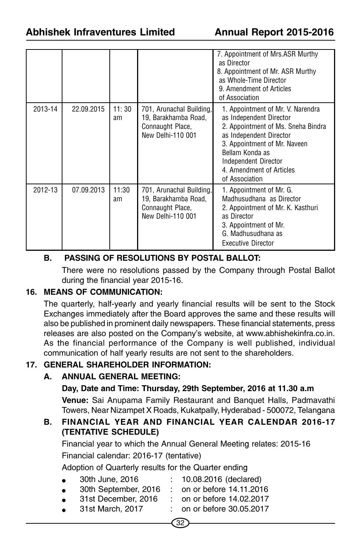|         |            |             |                                                                                           | 7. Appointment of Mrs.ASR Murthy<br>as Director<br>8. Appointment of Mr. ASR Murthy<br>as Whole-Time Director<br>9. Amendment of Articles<br>of Association                                                                                            |
|---------|------------|-------------|-------------------------------------------------------------------------------------------|--------------------------------------------------------------------------------------------------------------------------------------------------------------------------------------------------------------------------------------------------------|
| 2013-14 | 22.09.2015 | 11:30<br>am | 701, Arunachal Building,<br>19, Barakhamba Road,<br>Connaught Place,<br>New Delhi-110 001 | 1. Appointment of Mr. V. Narendra<br>as Independent Director<br>2. Appointment of Ms. Sneha Bindra<br>as Independent Director<br>3. Appointment of Mr. Naveen<br>Bellam Konda as<br>Independent Director<br>4. Amendment of Articles<br>of Association |
| 2012-13 | 07.09.2013 | 11:30<br>am | 701, Arunachal Building,<br>19, Barakhamba Road,<br>Connaught Place,<br>New Delhi-110 001 | 1. Appointment of Mr. G.<br>Madhusudhana as Director<br>2. Appointment of Mr. K. Kasthuri<br>as Director<br>3. Appointment of Mr.<br>G. Madhusudhana as<br><b>Executive Director</b>                                                                   |

# B. PASSING OF RESOLUTIONS BY POSTAL BALLOT:

There were no resolutions passed by the Company through Postal Ballot during the financial year 2015-16.

# 16. MEANS OF COMMUNICATION:

The quarterly, half-yearly and yearly financial results will be sent to the Stock Exchanges immediately after the Board approves the same and these results will also be published in prominent daily newspapers. These financial statements, press releases are also posted on the Company's website, at www.abhishekinfra.co.in. As the financial performance of the Company is well published, individual communication of half yearly results are not sent to the shareholders.

# 17. GENERAL SHAREHOLDER INFORMATION:

# A. ANNUAL GENERAL MEETING:

## Day, Date and Time: Thursday, 29th September, 2016 at 11.30 a.m

Venue: Sai Anupama Family Restaurant and Banquet Halls, Padmavathi Towers, Near Nizampet X Roads, Kukatpally, Hyderabad - 500072, Telangana

# B. FINANCIAL YEAR AND FINANCIAL YEAR CALENDAR 2016-17 (TENTATIVE SCHEDULE)

Financial year to which the Annual General Meeting relates: 2015-16

Financial calendar: 2016-17 (tentative)

Adoption of Quarterly results for the Quarter ending

- 30th June, 2016 : 10.08.2016 (declared)
- 30th September, 2016 : on or before  $14.11.2016$ <br>● 31st December 2016 : on or before 14.02.2017
- 31st December, 2016
- 31st March, 2017 : on or before 30.05.2017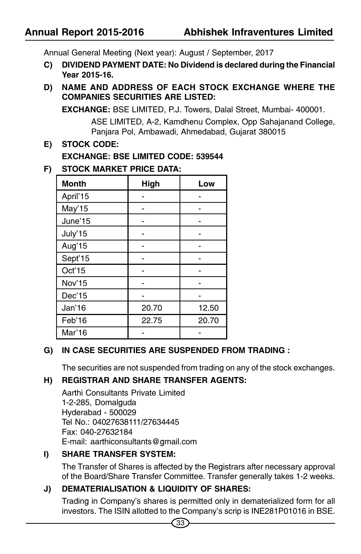Annual General Meeting (Next year): August / September, 2017

- C) DIVIDEND PAYMENT DATE: No Dividend is declared during the Financial Year 2015-16.
- D) NAME AND ADDRESS OF EACH STOCK EXCHANGE WHERE THE COMPANIES SECURITIES ARE LISTED:

EXCHANGE: BSE LIMITED, P.J. Towers, Dalal Street, Mumbai- 400001.

ASE LIMITED, A-2, Kamdhenu Complex, Opp Sahajanand College, Panjara Pol, Ambawadi, Ahmedabad, Gujarat 380015

- E) STOCK CODE: EXCHANGE: BSE LIMITED CODE: 539544
- F) STOCK MARKET PRICE DATA:

| <b>Month</b> | High  | Low   |
|--------------|-------|-------|
| April'15     |       |       |
| May'15       |       |       |
| June'15      |       |       |
| July'15      |       |       |
| Aug'15       |       |       |
| Sept'15      |       |       |
| Oct'15       |       |       |
| Nov'15       |       |       |
| Dec'15       |       |       |
| Jan'16       | 20.70 | 12.50 |
| Feb'16       | 22.75 | 20.70 |
| Mar'16       |       |       |

# G) IN CASE SECURITIES ARE SUSPENDED FROM TRADING :

The securities are not suspended from trading on any of the stock exchanges.

# H) REGISTRAR AND SHARE TRANSFER AGENTS:

Aarthi Consultants Private Limited 1-2-285, Domalguda Hyderabad - 500029 Tel No.: 04027638111/27634445 Fax: 040-27632184 E-mail: aarthiconsultants@gmail.com

# I) SHARE TRANSFER SYSTEM:

The Transfer of Shares is affected by the Registrars after necessary approval of the Board/Share Transfer Committee. Transfer generally takes 1-2 weeks.

# J) DEMATERIALISATION & LIQUIDITY OF SHARES:

Trading in Company's shares is permitted only in dematerialized form for all investors. The ISIN allotted to the Company's scrip is INE281P01016 in BSE.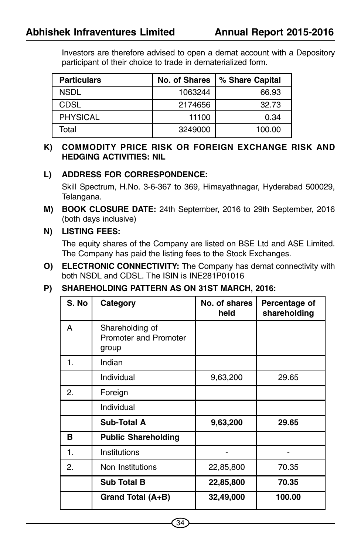Investors are therefore advised to open a demat account with a Depository participant of their choice to trade in dematerialized form.

| <b>Particulars</b> | <b>No. of Shares</b> | % Share Capital |
|--------------------|----------------------|-----------------|
| <b>NSDL</b>        | 1063244              | 66.93           |
| <b>CDSL</b>        | 2174656              | 32.73           |
| <b>PHYSICAL</b>    | 11100                | 0.34            |
| Total              | 3249000              | 100.00          |

## K) COMMODITY PRICE RISK OR FOREIGN EXCHANGE RISK AND HEDGING ACTIVITIES: NIL

#### L) ADDRESS FOR CORRESPONDENCE:

Skill Spectrum, H.No. 3-6-367 to 369, Himayathnagar, Hyderabad 500029, Telangana.

- M) BOOK CLOSURE DATE: 24th September, 2016 to 29th September, 2016 (both days inclusive)
- N) LISTING FEES:

The equity shares of the Company are listed on BSE Ltd and ASE Limited. The Company has paid the listing fees to the Stock Exchanges.

O) ELECTRONIC CONNECTIVITY: The Company has demat connectivity with both NSDL and CDSL. The ISIN is INE281P01016

#### P) SHAREHOLDING PATTERN AS ON 31ST MARCH, 2016:

| S. No | Category                                                 | No. of shares<br>held | Percentage of<br>shareholding |
|-------|----------------------------------------------------------|-----------------------|-------------------------------|
| A     | Shareholding of<br><b>Promoter and Promoter</b><br>group |                       |                               |
| 1.    | Indian                                                   |                       |                               |
|       | Individual                                               | 9,63,200              | 29.65                         |
| 2.    | Foreign                                                  |                       |                               |
|       | Individual                                               |                       |                               |
|       | <b>Sub-Total A</b>                                       | 9,63,200              | 29.65                         |
| в     | <b>Public Shareholding</b>                               |                       |                               |
| 1.    | Institutions                                             |                       |                               |
| 2.    | Non Institutions                                         | 22,85,800             | 70.35                         |
|       | <b>Sub Total B</b>                                       | 22,85,800             | 70.35                         |
|       | Grand Total (A+B)                                        | 32,49,000             | 100.00                        |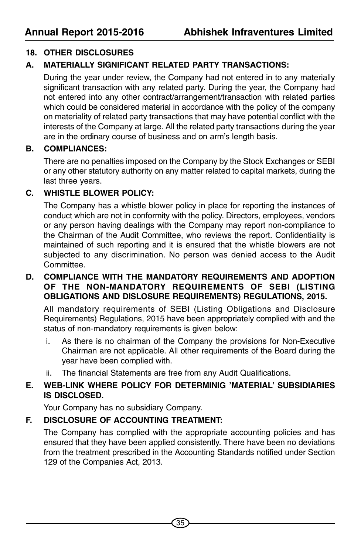# 18. OTHER DISCLOSURES

# A. MATERIALLY SIGNIFICANT RELATED PARTY TRANSACTIONS:

During the year under review, the Company had not entered in to any materially significant transaction with any related party. During the year, the Company had not entered into any other contract/arrangement/transaction with related parties which could be considered material in accordance with the policy of the company on materiality of related party transactions that may have potential conflict with the interests of the Company at large. All the related party transactions during the year are in the ordinary course of business and on arm's length basis.

## B. COMPLIANCES:

There are no penalties imposed on the Company by the Stock Exchanges or SEBI or any other statutory authority on any matter related to capital markets, during the last three years.

# C. WHISTLE BLOWER POLICY:

The Company has a whistle blower policy in place for reporting the instances of conduct which are not in conformity with the policy. Directors, employees, vendors or any person having dealings with the Company may report non-compliance to the Chairman of the Audit Committee, who reviews the report. Confidentiality is maintained of such reporting and it is ensured that the whistle blowers are not subjected to any discrimination. No person was denied access to the Audit Committee.

#### D. COMPLIANCE WITH THE MANDATORY REQUIREMENTS AND ADOPTION OF THE NON-MANDATORY REQUIREMENTS OF SEBI (LISTING OBLIGATIONS AND DISLOSURE REQUIREMENTS) REGULATIONS, 2015.

All mandatory requirements of SEBI (Listing Obligations and Disclosure Requirements) Regulations, 2015 have been appropriately complied with and the status of non-mandatory requirements is given below:

- i. As there is no chairman of the Company the provisions for Non-Executive Chairman are not applicable. All other requirements of the Board during the year have been complied with.
- ii. The financial Statements are free from any Audit Qualifications.

# E. WEB-LINK WHERE POLICY FOR DETERMINIG 'MATERIAL' SUBSIDIARIES IS DISCLOSED.

Your Company has no subsidiary Company.

# F. DISCLOSURE OF ACCOUNTING TREATMENT:

The Company has complied with the appropriate accounting policies and has ensured that they have been applied consistently. There have been no deviations from the treatment prescribed in the Accounting Standards notified under Section 129 of the Companies Act, 2013.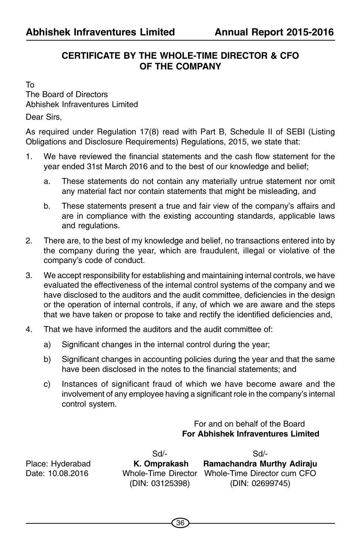# CERTIFICATE BY THE WHOLE-TIME DIRECTOR & CFO OF THE COMPANY

To

The Board of Directors Abhishek Infraventures Limited

Dear Sirs,

As required under Regulation 17(8) read with Part B, Schedule II of SEBI (Listing Obligations and Disclosure Requirements) Regulations, 2015, we state that:

- 1. We have reviewed the financial statements and the cash flow statement for the year ended 31st March 2016 and to the best of our knowledge and belief;
	- a. These statements do not contain any materially untrue statement nor omit any material fact nor contain statements that might be misleading, and
	- b. These statements present a true and fair view of the company's affairs and are in compliance with the existing accounting standards, applicable laws and regulations.
- 2. There are, to the best of my knowledge and belief, no transactions entered into by the company during the year, which are fraudulent, illegal or violative of the company's code of conduct.
- 3. We accept responsibility for establishing and maintaining internal controls, we have evaluated the effectiveness of the internal control systems of the company and we have disclosed to the auditors and the audit committee, deficiencies in the design or the operation of internal controls, if any, of which we are aware and the steps that we have taken or propose to take and rectify the identified deficiencies and,
- 4. That we have informed the auditors and the audit committee of:
	- a) Significant changes in the internal control during the year;
	- b) Significant changes in accounting policies during the year and that the same have been disclosed in the notes to the financial statements; and
	- c) Instances of significant fraud of which we have become aware and the involvement of any employee having a significant role in the company's internal control system.

#### For and on behalf of the Board For Abhishek Infraventures Limited

|                  | $Sd/-$              | Sd                                |
|------------------|---------------------|-----------------------------------|
| Place: Hyderabad | K. Omprakash        | <b>Ramachandra Murthy Adiraju</b> |
| Date: 10.08.2016 | Whole-Time Director | Whole-Time Director cum CFO       |
|                  | (DIN: 03125398)     | (DIN: 02699745)                   |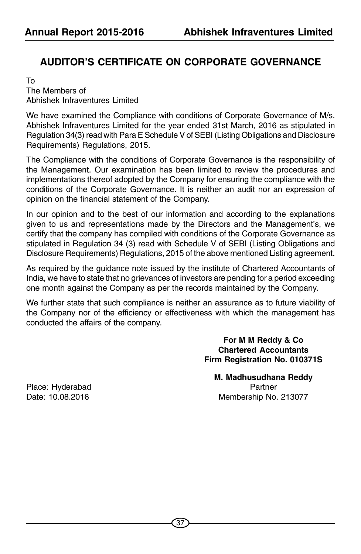# AUDITOR'S CERTIFICATE ON CORPORATE GOVERNANCE

To

The Members of Abhishek Infraventures Limited

We have examined the Compliance with conditions of Corporate Governance of M/s. Abhishek Infraventures Limited for the year ended 31st March, 2016 as stipulated in Regulation 34(3) read with Para E Schedule V of SEBI (Listing Obligations and Disclosure Requirements) Regulations, 2015.

The Compliance with the conditions of Corporate Governance is the responsibility of the Management. Our examination has been limited to review the procedures and implementations thereof adopted by the Company for ensuring the compliance with the conditions of the Corporate Governance. It is neither an audit nor an expression of opinion on the financial statement of the Company.

In our opinion and to the best of our information and according to the explanations given to us and representations made by the Directors and the Management's, we certify that the company has compiled with conditions of the Corporate Governance as stipulated in Regulation 34 (3) read with Schedule V of SEBI (Listing Obligations and Disclosure Requirements) Regulations, 2015 of the above mentioned Listing agreement.

As required by the guidance note issued by the institute of Chartered Accountants of India, we have to state that no grievances of investors are pending for a period exceeding one month against the Company as per the records maintained by the Company.

We further state that such compliance is neither an assurance as to future viability of the Company nor of the efficiency or effectiveness with which the management has conducted the affairs of the company.

> For M M Reddy & Co Chartered Accountants Firm Registration No. 010371S

Place: Hyderabad **Place:** Hyderabad **Partner** 

M. Madhusudhana Reddy Date: 10.08.2016 Membership No. 213077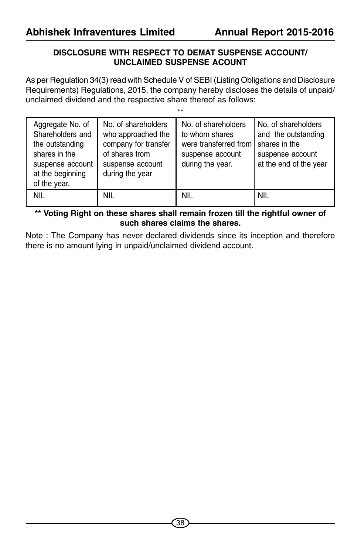#### DISCLOSURE WITH RESPECT TO DEMAT SUSPENSE ACCOUNT/ UNCLAIMED SUSPENSE ACOUNT

As per Regulation 34(3) read with Schedule V of SEBI (Listing Obligations and Disclosure Requirements) Regulations, 2015, the company hereby discloses the details of unpaid/ unclaimed dividend and the respective share thereof as follows:

|                                                                                                                                  | **                                                                                                                         |                                                                                                        |                                                                                                           |  |  |  |  |  |
|----------------------------------------------------------------------------------------------------------------------------------|----------------------------------------------------------------------------------------------------------------------------|--------------------------------------------------------------------------------------------------------|-----------------------------------------------------------------------------------------------------------|--|--|--|--|--|
| Aggregate No. of<br>Shareholders and<br>the outstanding<br>shares in the<br>suspense account<br>at the beginning<br>of the year. | No. of shareholders<br>who approached the<br>company for transfer<br>of shares from<br>suspense account<br>during the year | No. of shareholders<br>to whom shares<br>were transferred from<br>suspense account<br>during the year. | No. of shareholders<br>and the outstanding<br>shares in the<br>suspense account<br>at the end of the year |  |  |  |  |  |
| <b>NIL</b>                                                                                                                       | <b>NIL</b>                                                                                                                 | <b>NIL</b>                                                                                             | <b>NIL</b>                                                                                                |  |  |  |  |  |

#### \*\* Voting Right on these shares shall remain frozen till the rightful owner of such shares claims the shares.

Note : The Company has never declared dividends since its inception and therefore there is no amount lying in unpaid/unclaimed dividend account.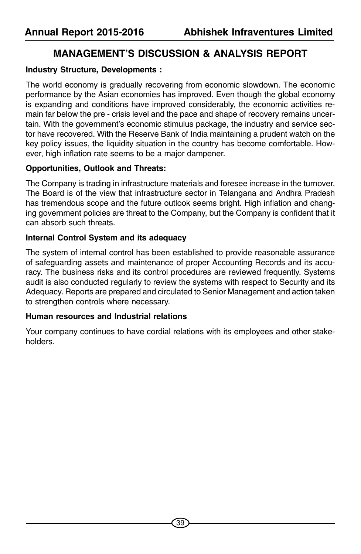## MANAGEMENT'S DISCUSSION & ANALYSIS REPORT

#### Industry Structure, Developments :

The world economy is gradually recovering from economic slowdown. The economic performance by the Asian economies has improved. Even though the global economy is expanding and conditions have improved considerably, the economic activities remain far below the pre - crisis level and the pace and shape of recovery remains uncertain. With the government's economic stimulus package, the industry and service sector have recovered. With the Reserve Bank of India maintaining a prudent watch on the key policy issues, the liquidity situation in the country has become comfortable. However, high inflation rate seems to be a major dampener.

#### Opportunities, Outlook and Threats:

The Company is trading in infrastructure materials and foresee increase in the turnover. The Board is of the view that infrastructure sector in Telangana and Andhra Pradesh has tremendous scope and the future outlook seems bright. High inflation and changing government policies are threat to the Company, but the Company is confident that it can absorb such threats.

#### Internal Control System and its adequacy

The system of internal control has been established to provide reasonable assurance of safeguarding assets and maintenance of proper Accounting Records and its accuracy. The business risks and its control procedures are reviewed frequently. Systems audit is also conducted regularly to review the systems with respect to Security and its Adequacy. Reports are prepared and circulated to Senior Management and action taken to strengthen controls where necessary.

#### Human resources and Industrial relations

Your company continues to have cordial relations with its employees and other stakeholders.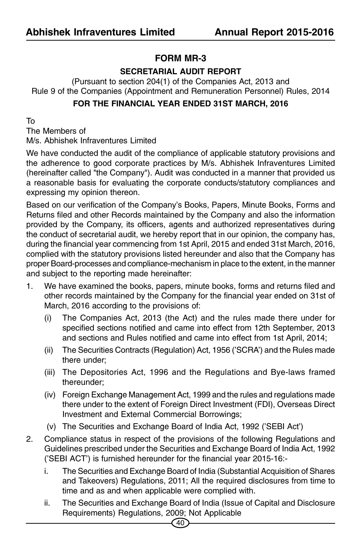## FORM MR-3

#### SECRETARIAL AUDIT REPORT

(Pursuant to section 204(1) of the Companies Act, 2013 and Rule 9 of the Companies (Appointment and Remuneration Personnel) Rules, 2014

### FOR THE FINANCIAL YEAR ENDED 31ST MARCH, 2016

To

The Members of

M/s. Abhishek Infraventures Limited

We have conducted the audit of the compliance of applicable statutory provisions and the adherence to good corporate practices by M/s. Abhishek Infraventures Limited (hereinafter called "the Company"). Audit was conducted in a manner that provided us a reasonable basis for evaluating the corporate conducts/statutory compliances and expressing my opinion thereon.

Based on our verification of the Company's Books, Papers, Minute Books, Forms and Returns filed and other Records maintained by the Company and also the information provided by the Company, its officers, agents and authorized representatives during the conduct of secretarial audit, we hereby report that in our opinion, the company has, during the financial year commencing from 1st April, 2015 and ended 31st March, 2016, complied with the statutory provisions listed hereunder and also that the Company has proper Board-processes and compliance-mechanism in place to the extent, in the manner and subject to the reporting made hereinafter:

- 1. We have examined the books, papers, minute books, forms and returns filed and other records maintained by the Company for the financial year ended on 31st of March, 2016 according to the provisions of:
	- (i) The Companies Act, 2013 (the Act) and the rules made there under for specified sections notified and came into effect from 12th September, 2013 and sections and Rules notified and came into effect from 1st April, 2014;
	- (ii) The Securities Contracts (Regulation) Act, 1956 ('SCRA') and the Rules made there under;
	- (iii) The Depositories Act, 1996 and the Regulations and Bye-laws framed thereunder;
	- (iv) Foreign Exchange Management Act, 1999 and the rules and regulations made there under to the extent of Foreign Direct Investment (FDI), Overseas Direct Investment and External Commercial Borrowings;
	- (v) The Securities and Exchange Board of India Act, 1992 ('SEBI Act')
- 2. Compliance status in respect of the provisions of the following Regulations and Guidelines prescribed under the Securities and Exchange Board of India Act, 1992 ('SEBI ACT') is furnished hereunder for the financial year 2015-16:
	- i. The Securities and Exchange Board of India (Substantial Acquisition of Shares and Takeovers) Regulations, 2011; All the required disclosures from time to time and as and when applicable were complied with.
	- ii. The Securities and Exchange Board of India (Issue of Capital and Disclosure Requirements) Regulations, 2009; Not Applicable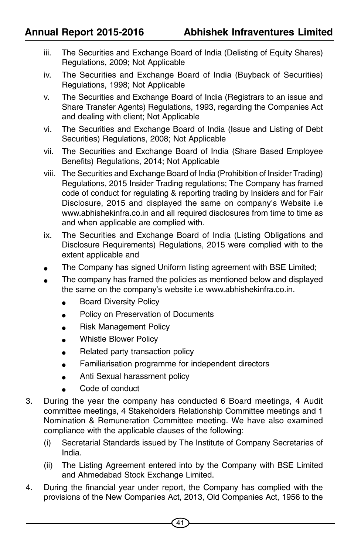- iii. The Securities and Exchange Board of India (Delisting of Equity Shares) Regulations, 2009; Not Applicable
- iv. The Securities and Exchange Board of India (Buyback of Securities) Regulations, 1998; Not Applicable
- v. The Securities and Exchange Board of India (Registrars to an issue and Share Transfer Agents) Regulations, 1993, regarding the Companies Act and dealing with client; Not Applicable
- vi. The Securities and Exchange Board of India (Issue and Listing of Debt Securities) Regulations, 2008; Not Applicable
- vii. The Securities and Exchange Board of India (Share Based Employee Benefits) Regulations, 2014; Not Applicable
- viii. The Securities and Exchange Board of India (Prohibition of Insider Trading) Regulations, 2015 Insider Trading regulations; The Company has framed code of conduct for regulating & reporting trading by Insiders and for Fair Disclosure, 2015 and displayed the same on company's Website i.e www.abhishekinfra.co.in and all required disclosures from time to time as and when applicable are complied with.
- ix. The Securities and Exchange Board of India (Listing Obligations and Disclosure Requirements) Regulations, 2015 were complied with to the extent applicable and
- The Company has signed Uniform listing agreement with BSE Limited;
- The company has framed the policies as mentioned below and displayed the same on the company's website i.e www.abhishekinfra.co.in.
	- **•** Board Diversity Policy
	- Policy on Preservation of Documents
	- Risk Management Policy
	- Whistle Blower Policy
	- Related party transaction policy
	- Familiarisation programme for independent directors
	- Anti Sexual harassment policy
	- Code of conduct
- 3. During the year the company has conducted 6 Board meetings, 4 Audit committee meetings, 4 Stakeholders Relationship Committee meetings and 1 Nomination & Remuneration Committee meeting. We have also examined compliance with the applicable clauses of the following:
	- (i) Secretarial Standards issued by The Institute of Company Secretaries of India.
	- (ii) The Listing Agreement entered into by the Company with BSE Limited and Ahmedabad Stock Exchange Limited.
- 4. During the financial year under report, the Company has complied with the provisions of the New Companies Act, 2013, Old Companies Act, 1956 to the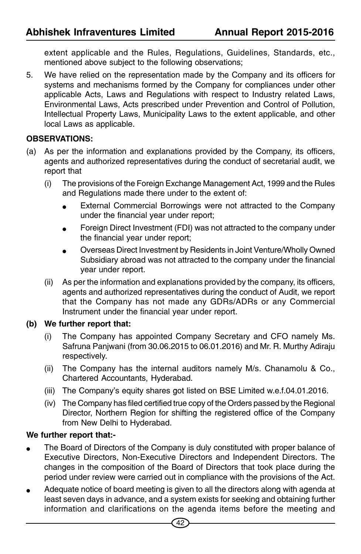extent applicable and the Rules, Regulations, Guidelines, Standards, etc., mentioned above subject to the following observations;

5. We have relied on the representation made by the Company and its officers for systems and mechanisms formed by the Company for compliances under other applicable Acts, Laws and Regulations with respect to Industry related Laws, Environmental Laws, Acts prescribed under Prevention and Control of Pollution, Intellectual Property Laws, Municipality Laws to the extent applicable, and other local Laws as applicable.

#### OBSERVATIONS:

- (a) As per the information and explanations provided by the Company, its officers, agents and authorized representatives during the conduct of secretarial audit, we report that
	- (i) The provisions of the Foreign Exchange Management Act, 1999 and the Rules and Regulations made there under to the extent of:
		- External Commercial Borrowings were not attracted to the Company under the financial year under report;
		- Foreign Direct Investment (FDI) was not attracted to the company under the financial year under report;
		- Overseas Direct Investment by Residents in Joint Venture/Wholly Owned Subsidiary abroad was not attracted to the company under the financial year under report.
	- (ii) As per the information and explanations provided by the company, its officers, agents and authorized representatives during the conduct of Audit, we report that the Company has not made any GDRs/ADRs or any Commercial Instrument under the financial year under report.

#### (b) We further report that:

- (i) The Company has appointed Company Secretary and CFO namely Ms. Safruna Panjwani (from 30.06.2015 to 06.01.2016) and Mr. R. Murthy Adiraju respectively.
- (ii) The Company has the internal auditors namely M/s. Chanamolu & Co., Chartered Accountants, Hyderabad.
- (iii) The Company's equity shares got listed on BSE Limited w.e.f.04.01.2016.
- (iv) The Company has filed certified true copy of the Orders passed by the Regional Director, Northern Region for shifting the registered office of the Company from New Delhi to Hyderabad.

#### We further report that:-

- The Board of Directors of the Company is duly constituted with proper balance of Executive Directors, Non-Executive Directors and Independent Directors. The changes in the composition of the Board of Directors that took place during the period under review were carried out in compliance with the provisions of the Act.
- Adequate notice of board meeting is given to all the directors along with agenda at least seven days in advance, and a system exists for seeking and obtaining further information and clarifications on the agenda items before the meeting and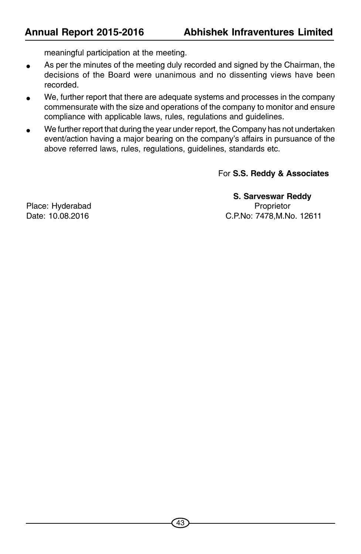meaningful participation at the meeting.

- As per the minutes of the meeting duly recorded and signed by the Chairman, the decisions of the Board were unanimous and no dissenting views have been recorded.
- We, further report that there are adequate systems and processes in the company commensurate with the size and operations of the company to monitor and ensure compliance with applicable laws, rules, regulations and guidelines.
- We further report that during the year under report, the Company has not undertaken event/action having a major bearing on the company's affairs in pursuance of the above referred laws, rules, regulations, guidelines, standards etc.

For S.S. Reddy & Associates

S. Sarveswar Reddy<br>Proprietor C.P.No: 7478.M.No. 12611

Place: Hyderabad<br>Date: 10.08.2016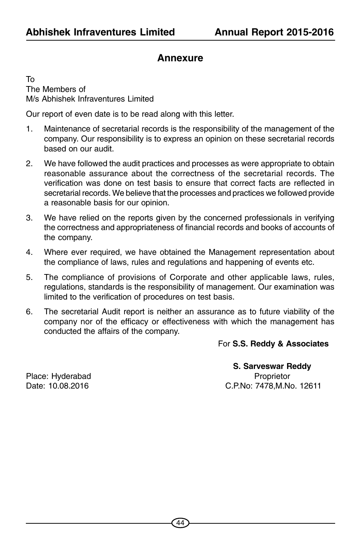## Annexure

To The Members of M/s Abhishek Infraventures Limited

Our report of even date is to be read along with this letter.

- 1. Maintenance of secretarial records is the responsibility of the management of the company. Our responsibility is to express an opinion on these secretarial records based on our audit.
- 2. We have followed the audit practices and processes as were appropriate to obtain reasonable assurance about the correctness of the secretarial records. The verification was done on test basis to ensure that correct facts are reflected in secretarial records. We believe that the processes and practices we followed provide a reasonable basis for our opinion.
- 3. We have relied on the reports given by the concerned professionals in verifying the correctness and appropriateness of financial records and books of accounts of the company.
- 4. Where ever required, we have obtained the Management representation about the compliance of laws, rules and regulations and happening of events etc.
- 5. The compliance of provisions of Corporate and other applicable laws, rules, regulations, standards is the responsibility of management. Our examination was limited to the verification of procedures on test basis.
- 6. The secretarial Audit report is neither an assurance as to future viability of the company nor of the efficacy or effectiveness with which the management has conducted the affairs of the company.

#### For S.S. Reddy & Associates

S. Sarveswar Reddy Place: Hyderabad Proprietor<br>Date: 10.08.2016 C.P.No: 7478.M.No C.P.No: 7478,M.No. 12611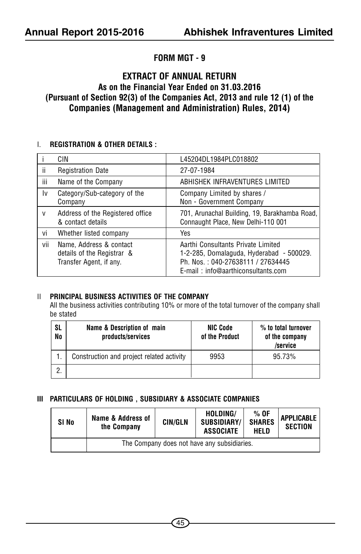#### FORM MGT - 9

### EXTRACT OF ANNUAL RETURN As on the Financial Year Ended on 31.03.2016 (Pursuant of Section 92(3) of the Companies Act, 2013 and rule 12 (1) of the Companies (Management and Administration) Rules, 2014)

#### I. REGISTRATION & OTHER DETAILS :

|              | CIN                                                                              | L45204DL1984PLC018802                                                                                                                                     |
|--------------|----------------------------------------------------------------------------------|-----------------------------------------------------------------------------------------------------------------------------------------------------------|
| $\mathbf{H}$ | <b>Registration Date</b>                                                         | 27-07-1984                                                                                                                                                |
| iii          | Name of the Company                                                              | ABHISHEK INFRAVENTURES LIMITED                                                                                                                            |
| 1v           | Category/Sub-category of the<br>Company                                          | Company Limited by shares /<br>Non - Government Company                                                                                                   |
| v            | Address of the Registered office<br>& contact details                            | 701, Arunachal Building, 19, Barakhamba Road,<br>Connaught Place, New Delhi-110 001                                                                       |
| Vİ           | Whether listed company                                                           | Yes                                                                                                                                                       |
| vii          | Name, Address & contact<br>details of the Registrar &<br>Transfer Agent, if any. | Aarthi Consultants Private Limited<br>1-2-285, Domalaguda, Hyderabad - 500029.<br>Ph. Nos.: 040-27638111 / 27634445<br>E-mail: info@aarthiconsultants.com |

#### II PRINCIPAL BUSINESS ACTIVITIES OF THE COMPANY

All the business activities contributing 10% or more of the total turnover of the company shall be stated

| SL<br>No | Name & Description of main<br>products/services | NIC Code<br>of the Product | % to total turnover<br>of the company<br>/service |
|----------|-------------------------------------------------|----------------------------|---------------------------------------------------|
|          | Construction and project related activity       | 9953                       | 95.73%                                            |
| ŋ        |                                                 |                            |                                                   |

#### III PARTICULARS OF HOLDING , SUBSIDIARY & ASSOCIATE COMPANIES

| SI No | Name & Address of<br>the Company | <b>CIN/GLN</b> | HOLDING/<br>SUBSIDIARY/<br><b>ASSOCIATE</b> | $%$ OF<br><b>SHARES</b><br><b>HELD</b> | <b>APPLICABLE</b><br><b>SECTION</b> |
|-------|----------------------------------|----------------|---------------------------------------------|----------------------------------------|-------------------------------------|
|       |                                  |                | The Company does not have any subsidiaries. |                                        |                                     |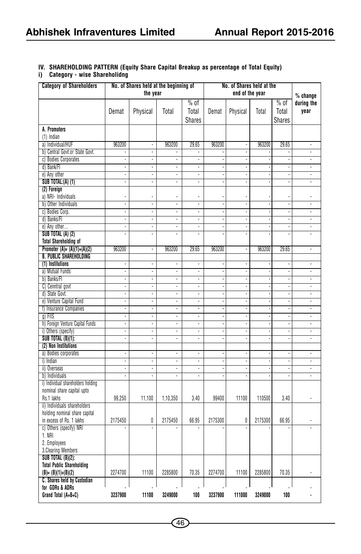#### IV. SHAREHOLDING PATTERN (Equity Share Capital Breakup as percentage of Total Equity)

## i) Category - wise Shareholidng

| <b>Category of Shareholders</b>                   |                          | No. of Shares held at the beginning of |                |                          | No. of Shares held at the |                                |         |                          |                          |
|---------------------------------------------------|--------------------------|----------------------------------------|----------------|--------------------------|---------------------------|--------------------------------|---------|--------------------------|--------------------------|
|                                                   |                          | the year                               |                |                          |                           | end of the year                |         |                          | $%$ change               |
|                                                   |                          |                                        |                | $%$ of                   |                           |                                |         | $%$ of                   | during the               |
|                                                   | Demat                    | Physical                               | Total          | Total                    | Demat                     | Physical                       | Total   | Total                    | year                     |
|                                                   |                          |                                        |                |                          |                           |                                |         |                          |                          |
|                                                   |                          |                                        |                | <b>Shares</b>            |                           |                                |         | <b>Shares</b>            |                          |
| A. Promoters                                      |                          |                                        |                |                          |                           |                                |         |                          |                          |
| $(1)$ Indian                                      |                          |                                        |                |                          |                           |                                |         |                          |                          |
| a) Individual/HUF                                 | 963200                   | ÷,                                     | 963200         | 29.65                    | 963200                    | $\overline{\phantom{a}}$       | 963200  | 29.65                    |                          |
| b) Central Govt.or State Govt.                    |                          |                                        | Ĭ.             |                          |                           | $\overline{\phantom{a}}$       |         |                          |                          |
| c) Bodies Corporates                              | $\overline{\phantom{a}}$ |                                        | $\overline{a}$ |                          |                           | $\overline{\phantom{a}}$       | ł.      |                          | ä,                       |
| d) Bank/FI                                        | ł,                       | ÷                                      | ł,             |                          |                           | $\overline{\phantom{a}}$       |         |                          | $\overline{\phantom{a}}$ |
| e) Any other                                      | τ                        | ٠                                      |                |                          |                           |                                |         | $\overline{\phantom{a}}$ | ä,                       |
| <b>SUB TOTAL:(A) (1)</b>                          | ä,                       | ٠                                      | ä,             | ä,                       | Ĭ.                        | ä,                             |         | ä,                       | ÷                        |
| (2) Foreign                                       |                          |                                        |                |                          |                           |                                |         |                          |                          |
| a) NRI- Individuals                               |                          |                                        | l,             | Ĭ.                       | í,                        |                                |         | ł.                       | ä,                       |
| b) Other Individuals                              | ä,                       | ä,                                     | ÷,             | $\overline{\phantom{a}}$ |                           | $\overline{\phantom{a}}$       | í,      | $\overline{\phantom{a}}$ | $\ddot{\phantom{a}}$     |
| c) Bodies Corp.                                   | ł,                       | ÷                                      |                | ÷                        |                           |                                |         |                          | ٠                        |
| d) Banks/FI                                       |                          | ÷,                                     |                |                          |                           | τ                              |         | ÷,                       | ÷,                       |
| e) Any other                                      | ÷,<br>L.                 | ä,<br>Ĭ.                               | ä,<br>ä,       | ٠<br>ä,                  |                           | $\overline{\phantom{a}}$<br>ä, | ä,      | ٠                        | ٠<br>÷                   |
| <b>SUB TOTAL (A) (2)</b>                          |                          |                                        |                |                          |                           |                                |         |                          |                          |
| <b>Total Shareholding of</b>                      |                          |                                        |                |                          |                           | ä,                             |         |                          | ä,                       |
| Promoter $(A) = (A)(1)+(A)(2)$                    | 963200                   | $\ddot{\phantom{0}}$                   | 963200         | 29.65                    | 963200                    |                                | 963200  | 29.65                    |                          |
| <b>B. PUBLIC SHAREHOLDING</b><br>(1) Institutions | Ţ                        | Ţ                                      | Ţ              | Ţ                        |                           | Ţ                              |         | ÷,                       | τ                        |
| a) Mutual Funds                                   | ÷,                       | ä,                                     | ÷,             | $\overline{\phantom{a}}$ |                           | $\ddot{\phantom{a}}$           | ä,      | $\overline{\phantom{a}}$ | $\ddot{\phantom{a}}$     |
| b) Banks/FI                                       | $\overline{\phantom{a}}$ | ÷,                                     | ÷,             | ÷,                       |                           | $\overline{\phantom{a}}$       |         | $\ddot{\phantom{0}}$     | ٠                        |
| C) Cenntral govt                                  | Ţ                        | Ξ                                      |                |                          | Ţ                         |                                | Ţ       | τ                        | τ                        |
| d) State Govt.                                    | ÷,                       | ä,                                     | ÷,             | $\overline{\phantom{a}}$ |                           | $\overline{\phantom{a}}$       | í,      | $\overline{\phantom{a}}$ | $\ddot{\phantom{a}}$     |
| e) Venture Capital Fund                           | ÷                        |                                        | ÷              | ÷                        |                           | $\overline{\phantom{a}}$       |         | ÷                        | $\overline{\phantom{a}}$ |
| f) Insurance Companies                            |                          |                                        |                |                          |                           | $\overline{\phantom{a}}$       |         |                          | ä,                       |
| $q)$ FIIS                                         | ÷,                       | ä,                                     | $\overline{a}$ | ä,                       |                           | $\overline{\phantom{a}}$       | ł.      | $\ddot{\phantom{0}}$     | ä,                       |
| h) Foreign Venture Capital Funds                  | ł,                       |                                        |                |                          |                           | $\overline{\phantom{a}}$       |         |                          | $\overline{\phantom{a}}$ |
| i) Others (specify)                               | Ţ                        | Ţ                                      | Ţ              | Ţ                        | Ţ                         | Ţ                              |         | Ţ                        | Ţ                        |
| <b>SUB TOTAL (B)(1):</b>                          | ä,                       | ٠                                      | ÷,             | $\overline{\phantom{a}}$ | Ĭ.                        | ä,                             |         | $\ddot{\phantom{a}}$     | $\ddot{\phantom{a}}$     |
| (2) Non Institutions                              |                          |                                        |                |                          |                           |                                |         |                          |                          |
| a) Bodies corporates                              |                          | Ξ                                      | τ              |                          | ï                         | τ                              | Ĭ.      | ä,                       | τ                        |
| i) Indian                                         | $\overline{\phantom{a}}$ | ä,                                     | ÷,             | $\overline{\phantom{a}}$ |                           | $\overline{\phantom{a}}$       | í,      | ×,                       | $\ddot{\phantom{a}}$     |
| ii) Overseas                                      | ł,                       | ÷                                      |                |                          |                           |                                | ł,      |                          |                          |
| b) Individuals                                    | ÷,                       | ÷,                                     |                |                          |                           | $\ddot{\phantom{0}}$           | l,      | $\overline{a}$           |                          |
| i) Individual shareholders holding                |                          |                                        |                |                          |                           |                                |         |                          |                          |
| nominal share capital upto                        |                          |                                        |                |                          |                           |                                |         |                          |                          |
| Rs.1 lakhs                                        | 99,250                   | 11,100                                 | 1,10,350       | 3.40                     | 99400                     | 11100                          | 110500  | 3.40                     |                          |
| ii) Individuals shareholders                      |                          |                                        |                |                          |                           |                                |         |                          |                          |
| holding nominal share capital                     |                          |                                        |                |                          |                           |                                |         |                          |                          |
| in excess of Rs. 1 lakhs                          | 2175450                  | 0                                      | 2175450        | 66.95                    | 2175300                   | 0                              | 2175300 | 66.95                    |                          |
| c) Others (specify) NRI                           |                          | ä,                                     |                |                          |                           | ä,                             |         |                          |                          |
| 1. NRI                                            |                          |                                        |                |                          |                           |                                |         |                          |                          |
| 2. Employees                                      |                          |                                        |                |                          |                           |                                |         |                          |                          |
| 3. Clearing Members                               |                          |                                        |                |                          |                           |                                |         |                          |                          |
| <b>SUB TOTAL (B)(2):</b>                          |                          |                                        |                |                          |                           |                                |         |                          |                          |
| <b>Total Public Shareholding</b>                  |                          |                                        |                |                          |                           |                                |         |                          |                          |
| $(B)=(B)(1)+(B)(2)$                               | 2274700                  | 11100                                  | 2285800        | 70.35                    | 2274700                   | 11100                          | 2285800 | 70.35                    |                          |
| C. Shares held by Custodian                       |                          |                                        |                |                          |                           |                                |         |                          |                          |
| for GDRs & ADRs                                   |                          |                                        |                |                          |                           |                                |         |                          |                          |
| Grand Total (A+B+C)                               | 3237900                  | 11100                                  | 3249000        | 100                      | 3237900                   | 111000                         | 3249000 | 100                      |                          |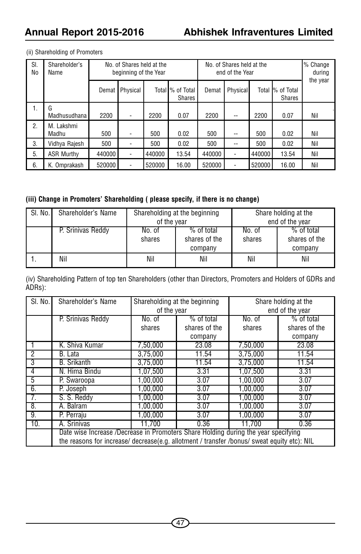(ii) Shareholding of Promoters

| SI.<br>No | Shareholder's<br>Name | No. of Shares held at the<br>beginning of the Year |          |        | No. of Shares held at the<br>end of the Year |        |                 |        | % Change<br>during<br>the year    |     |
|-----------|-----------------------|----------------------------------------------------|----------|--------|----------------------------------------------|--------|-----------------|--------|-----------------------------------|-----|
|           |                       | Demat                                              | Physical |        | Total % of Total<br>Shares                   | Demat  | <b>Physical</b> |        | Total % of Total<br><b>Shares</b> |     |
| 1.        | G<br>Madhusudhana     | 2200                                               | ٠        | 2200   | 0.07                                         | 2200   | --              | 2200   | 0.07                              | Nil |
| 2.        | M. Lakshmi<br>Madhu   | 500                                                |          | 500    | 0.02                                         | 500    | --              | 500    | 0.02                              | Nil |
| 3.        | Vidhya Rajesh         | 500                                                | ۰        | 500    | 0.02                                         | 500    | --              | 500    | 0.02                              | Nil |
| 5.        | <b>ASR Murthy</b>     | 440000                                             | ٠        | 440000 | 13.54                                        | 440000 | ٠               | 440000 | 13.54                             | Nil |
| 6.        | K. Omprakash          | 520000                                             | ٠        | 520000 | 16.00                                        | 520000 | ٠               | 520000 | 16.00                             | Nil |

#### (iii) Change in Promoters' Shareholding ( please specify, if there is no change)

| SI. No. | Shareholder's Name | Shareholding at the beginning<br>of the year |                                        | Share holding at the<br>end of the year |                                        |
|---------|--------------------|----------------------------------------------|----------------------------------------|-----------------------------------------|----------------------------------------|
|         | P. Srinivas Reddy  | No. of<br>shares                             | % of total<br>shares of the<br>company | No. of<br>shares                        | % of total<br>shares of the<br>company |
|         | Nil                | Nil                                          | Nil                                    | Nil                                     | Nil                                    |

(iv) Shareholding Pattern of top ten Shareholders (other than Directors, Promoters and Holders of GDRs and ADRs):

| SI. No. | Shareholder's Name                                                                                                                                                                | Shareholding at the beginning<br>of the year |               | Share holding at the<br>end of the year |               |
|---------|-----------------------------------------------------------------------------------------------------------------------------------------------------------------------------------|----------------------------------------------|---------------|-----------------------------------------|---------------|
|         | P. Srinivas Reddy                                                                                                                                                                 | No. of                                       | % of total    | No. of                                  | % of total    |
|         |                                                                                                                                                                                   | shares                                       | shares of the | shares                                  | shares of the |
|         |                                                                                                                                                                                   |                                              | company       |                                         | company       |
|         | K. Shiva Kumar                                                                                                                                                                    | 7.50.000                                     | 23.08         | 7,50,000                                | 23.08         |
| 2       | B. Lata                                                                                                                                                                           | 3,75,000                                     | 11.54         | 3,75,000                                | 11.54         |
| 3       | <b>B.</b> Srikanth                                                                                                                                                                | 3.75.000                                     | 11.54         | 3.75.000                                | 11.54         |
| 4       | N. Hima Bindu                                                                                                                                                                     | 1,07,500                                     | 3.31          | 1,07,500                                | 3.31          |
| 5       | P. Swaroopa                                                                                                                                                                       | 1,00,000                                     | 3.07          | 1.00.000                                | 3.07          |
| 6.      | P. Joseph                                                                                                                                                                         | 1.00.000                                     | 3.07          | 1.00.000                                | 3.07          |
| 7.      | S. S. Reddy                                                                                                                                                                       | 1.00.000                                     | 3.07          | 1.00.000                                | 3.07          |
| 8.      | A. Balram                                                                                                                                                                         | 1.00.000                                     | 3.07          | 1.00.000                                | 3.07          |
| 9.      | P. Perraju                                                                                                                                                                        | 1.00.000                                     | 3.07          | 1.00.000                                | 3.07          |
| 10.     | A. Srinivas                                                                                                                                                                       | 11.700                                       | 0.36          | 11.700                                  | 0.36          |
|         | Date wise Increase /Decrease in Promoters Share Holding during the year specifying<br>the reasons for increase/ decrease(e.g. allotment / transfer /bonus/ sweat equity etc): NIL |                                              |               |                                         |               |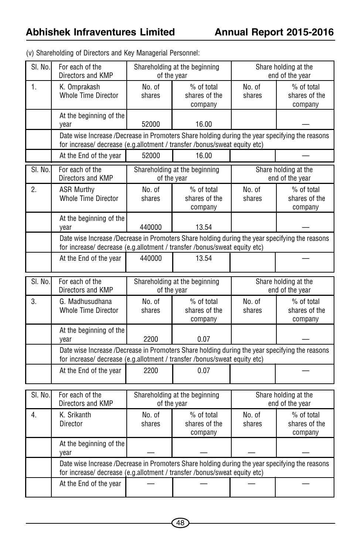| SI. No.          | For each of the<br>Directors and KMP                                                                                                                                        | of the year                                  | Shareholding at the beginning          |                                         | Share holding at the<br>end of the year |
|------------------|-----------------------------------------------------------------------------------------------------------------------------------------------------------------------------|----------------------------------------------|----------------------------------------|-----------------------------------------|-----------------------------------------|
| 1.               | K. Omprakash<br><b>Whole Time Director</b>                                                                                                                                  | No. of<br>shares                             | % of total<br>shares of the<br>company | No. of<br>shares                        | % of total<br>shares of the<br>company  |
|                  | At the beginning of the<br>year                                                                                                                                             | 52000                                        | 16.00                                  |                                         |                                         |
|                  | Date wise Increase /Decrease in Promoters Share holding during the year specifying the reasons<br>for increase/ decrease (e.g.allotment / transfer /bonus/sweat equity etc) |                                              |                                        |                                         |                                         |
|                  | At the End of the year                                                                                                                                                      | 52000                                        | 16.00                                  |                                         |                                         |
| SI. No.          | For each of the<br>Directors and KMP                                                                                                                                        | of the year                                  | Shareholding at the beginning          |                                         | Share holding at the<br>end of the year |
| 2.               | <b>ASR Murthy</b><br><b>Whole Time Director</b>                                                                                                                             | No. of<br>shares                             | % of total<br>shares of the<br>company | No. of<br>shares                        | % of total<br>shares of the<br>company  |
|                  | At the beginning of the<br>year                                                                                                                                             | 440000                                       | 13.54                                  |                                         |                                         |
|                  | Date wise Increase /Decrease in Promoters Share holding during the year specifying the reasons<br>for increase/ decrease (e.g.allotment / transfer /bonus/sweat equity etc) |                                              |                                        |                                         |                                         |
|                  | At the End of the year                                                                                                                                                      | 440000                                       | 13.54                                  |                                         |                                         |
| SI. No.          | For each of the<br>Directors and KMP                                                                                                                                        | of the year                                  | Shareholding at the beginning          | Share holding at the<br>end of the year |                                         |
| 3.               | G. Madhusudhana<br><b>Whole Time Director</b>                                                                                                                               | No. of<br>shares                             | % of total<br>shares of the<br>company | No. of<br>shares                        | % of total<br>shares of the<br>company  |
|                  | At the beginning of the<br>year                                                                                                                                             | 2200                                         | 0.07                                   |                                         |                                         |
|                  | Date wise Increase /Decrease in Promoters Share holding during the year specifying the reasons<br>for increase/ decrease (e.g.allotment / transfer /bonus/sweat equity etc) |                                              |                                        |                                         |                                         |
|                  | At the End of the year                                                                                                                                                      | 2200                                         | 0.07                                   |                                         |                                         |
| SI. No.          |                                                                                                                                                                             | Shareholding at the beginning<br>of the year |                                        | Share holding at the                    |                                         |
|                  | For each of the<br>Directors and KMP                                                                                                                                        |                                              |                                        |                                         | end of the year                         |
| $\overline{4}$ . | K. Srikanth<br>Director                                                                                                                                                     | No. of<br>shares                             | % of total<br>shares of the<br>company | No. of<br>shares                        | % of total<br>shares of the<br>company  |
|                  | At the beginning of the<br>vear                                                                                                                                             |                                              |                                        |                                         |                                         |
|                  | Date wise Increase /Decrease in Promoters Share holding during the year specifying the reasons<br>for increase/ decrease (e.g.allotment / transfer /bonus/sweat equity etc) |                                              |                                        |                                         |                                         |

(v) Shareholding of Directors and Key Managerial Personnel: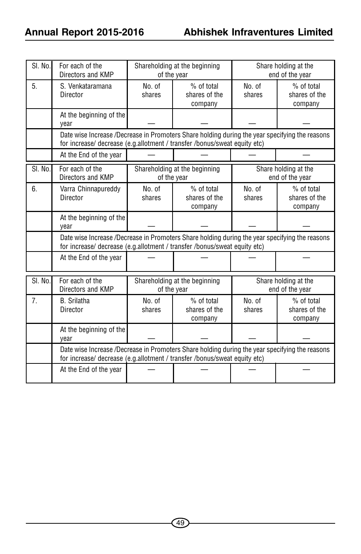| SI. No.        | For each of the<br>Directors and KMP                                                                                                                                        | of the year      | Shareholding at the beginning            |                  | Share holding at the<br>end of the year |
|----------------|-----------------------------------------------------------------------------------------------------------------------------------------------------------------------------|------------------|------------------------------------------|------------------|-----------------------------------------|
| 5.             | S. Venkataramana<br>Director                                                                                                                                                | No. of<br>shares | $%$ of total<br>shares of the<br>company | No. of<br>shares | % of total<br>shares of the<br>company  |
|                | At the beginning of the<br>year                                                                                                                                             |                  |                                          |                  |                                         |
|                | Date wise Increase /Decrease in Promoters Share holding during the year specifying the reasons<br>for increase/ decrease (e.g.allotment / transfer /bonus/sweat equity etc) |                  |                                          |                  |                                         |
|                | At the End of the year                                                                                                                                                      |                  |                                          |                  |                                         |
| SI. No.        | For each of the<br>Directors and KMP                                                                                                                                        | of the year      | Shareholding at the beginning            |                  | Share holding at the<br>end of the year |
| 6.             | Varra Chinnapureddy<br>Director                                                                                                                                             | No. of<br>shares | % of total<br>shares of the<br>company   | No. of<br>shares | % of total<br>shares of the<br>company  |
|                | At the beginning of the<br>vear                                                                                                                                             |                  |                                          |                  |                                         |
|                | Date wise Increase /Decrease in Promoters Share holding during the year specifying the reasons<br>for increase/ decrease (e.g.allotment / transfer /bonus/sweat equity etc) |                  |                                          |                  |                                         |
|                | At the End of the year                                                                                                                                                      |                  |                                          |                  |                                         |
| SI. No.        | For each of the<br>Directors and KMP                                                                                                                                        | of the year      | Shareholding at the beginning            |                  | Share holding at the<br>end of the year |
| 7 <sub>1</sub> | <b>B.</b> Srilatha<br>Director                                                                                                                                              | No. of<br>shares | % of total<br>shares of the<br>company   | No. of<br>shares | % of total<br>shares of the<br>company  |
|                | At the beginning of the<br>year                                                                                                                                             |                  |                                          |                  |                                         |
|                | Date wise Increase /Decrease in Promoters Share holding during the year specifying the reasons<br>for increase/ decrease (e.g.allotment / transfer /bonus/sweat equity etc) |                  |                                          |                  |                                         |
|                | At the End of the year                                                                                                                                                      |                  |                                          |                  |                                         |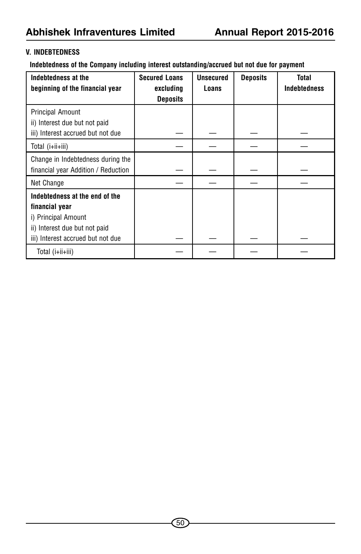#### V. INDEBTEDNESS

Indebtedness of the Company including interest outstanding/accrued but not due for payment

| Indebtedness at the<br>beginning of the financial year                                                                                        | <b>Secured Loans</b><br>excluding<br><b>Deposits</b> | <b>Unsecured</b><br>Loans | <b>Deposits</b> | <b>Total</b><br><b>Indebtedness</b> |
|-----------------------------------------------------------------------------------------------------------------------------------------------|------------------------------------------------------|---------------------------|-----------------|-------------------------------------|
| <b>Principal Amount</b><br>ii) Interest due but not paid<br>iii) Interest accrued but not due                                                 |                                                      |                           |                 |                                     |
| Total (i+ii+iii)                                                                                                                              |                                                      |                           |                 |                                     |
| Change in Indebtedness during the<br>financial year Addition / Reduction                                                                      |                                                      |                           |                 |                                     |
| Net Change                                                                                                                                    |                                                      |                           |                 |                                     |
| Indebtedness at the end of the<br>financial year<br>i) Principal Amount<br>ii) Interest due but not paid<br>iii) Interest accrued but not due |                                                      |                           |                 |                                     |
| Total (i+ii+iii)                                                                                                                              |                                                      |                           |                 |                                     |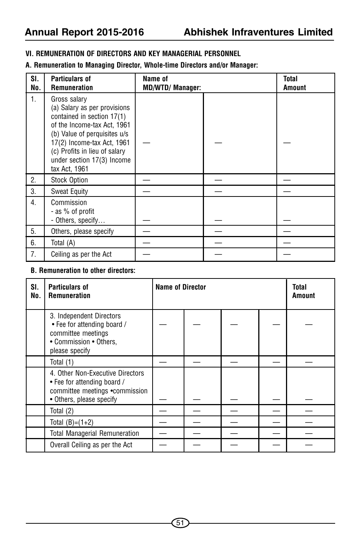#### VI. REMUNERATION OF DIRECTORS AND KEY MANAGERIAL PERSONNEL

#### A. Remuneration to Managing Director, Whole-time Directors and/or Manager:

| SI.<br>No.       | <b>Particulars of</b><br><b>Remuneration</b>                                                                                                                                                                                                            | Name of<br><b>MD/WTD/ Manager:</b> | Total<br><b>Amount</b> |  |
|------------------|---------------------------------------------------------------------------------------------------------------------------------------------------------------------------------------------------------------------------------------------------------|------------------------------------|------------------------|--|
| 1.               | Gross salary<br>(a) Salary as per provisions<br>contained in section 17(1)<br>of the Income-tax Act, 1961<br>(b) Value of perquisites u/s<br>17(2) Income-tax Act, 1961<br>(c) Profits in lieu of salary<br>under section 17(3) Income<br>tax Act, 1961 |                                    |                        |  |
| 2.               | <b>Stock Option</b>                                                                                                                                                                                                                                     |                                    |                        |  |
| 3.               | Sweat Equity                                                                                                                                                                                                                                            |                                    |                        |  |
| $\overline{4}$ . | Commission<br>- as % of profit<br>- Others, specify                                                                                                                                                                                                     |                                    |                        |  |
| 5.               | Others, please specify                                                                                                                                                                                                                                  |                                    |                        |  |
| 6.               | Total (A)                                                                                                                                                                                                                                               |                                    |                        |  |
| 7.               | Ceiling as per the Act                                                                                                                                                                                                                                  |                                    |                        |  |

#### B. Remuneration to other directors:

| SI.<br>No. | <b>Particulars of</b><br><b>Remuneration</b>                                                                                  | <b>Name of Director</b> |  |  |  |
|------------|-------------------------------------------------------------------------------------------------------------------------------|-------------------------|--|--|--|
|            | 3. Independent Directors<br>• Fee for attending board /<br>committee meetings<br>• Commission • Others,<br>please specify     |                         |  |  |  |
|            | Total (1)                                                                                                                     |                         |  |  |  |
|            | 4. Other Non-Executive Directors<br>• Fee for attending board /<br>committee meetings .commission<br>• Others, please specify |                         |  |  |  |
|            | Total (2)                                                                                                                     |                         |  |  |  |
|            | Total $(B)=(1+2)$                                                                                                             |                         |  |  |  |
|            | <b>Total Managerial Remuneration</b>                                                                                          |                         |  |  |  |
|            | Overall Ceiling as per the Act                                                                                                |                         |  |  |  |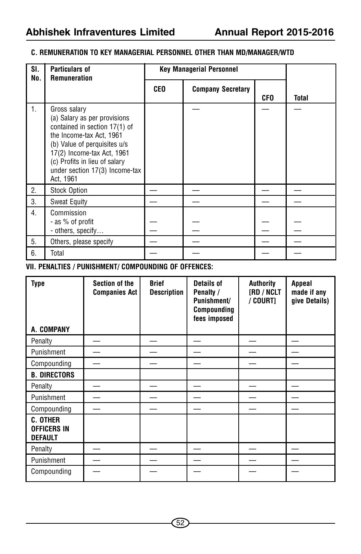#### C. REMUNERATION TO KEY MANAGERIAL PERSONNEL OTHER THAN MD/MANAGER/WTD

| SI.<br>No. | <b>Particulars of</b><br><b>Remuneration</b>                                                                                                                                                                                                            |            | <b>Key Managerial Personnel</b> |     |       |  |
|------------|---------------------------------------------------------------------------------------------------------------------------------------------------------------------------------------------------------------------------------------------------------|------------|---------------------------------|-----|-------|--|
|            |                                                                                                                                                                                                                                                         | <b>CEO</b> | <b>Company Secretary</b>        | CFO | Total |  |
| 1.         | Gross salary<br>(a) Salary as per provisions<br>contained in section 17(1) of<br>the Income-tax Act, 1961<br>(b) Value of perquisites u/s<br>17(2) Income-tax Act, 1961<br>(c) Profits in lieu of salary<br>under section 17(3) Income-tax<br>Act, 1961 |            |                                 |     |       |  |
| 2.         | <b>Stock Option</b>                                                                                                                                                                                                                                     |            |                                 |     |       |  |
| 3.         | <b>Sweat Equity</b>                                                                                                                                                                                                                                     |            |                                 |     |       |  |
| 4.         | Commission<br>- as % of profit<br>- others, specify                                                                                                                                                                                                     |            |                                 |     |       |  |
| 5.         | Others, please specify                                                                                                                                                                                                                                  |            |                                 |     |       |  |
| 6.         | Total                                                                                                                                                                                                                                                   |            |                                 |     |       |  |

#### VII. PENALTIES / PUNISHMENT/ COMPOUNDING OF OFFENCES:

| Type<br>A. COMPANY                               | Section of the<br><b>Companies Act</b> | <b>Brief</b><br><b>Description</b> | <b>Details of</b><br>Penalty /<br>Punishment/<br>Compounding<br>fees imposed | <b>Authority</b><br>[RD / NCLT<br>/ COURT] | Appeal<br>made if any<br>give Details) |
|--------------------------------------------------|----------------------------------------|------------------------------------|------------------------------------------------------------------------------|--------------------------------------------|----------------------------------------|
| Penalty                                          |                                        |                                    |                                                                              |                                            |                                        |
| Punishment                                       |                                        |                                    |                                                                              |                                            |                                        |
| Compounding                                      |                                        |                                    |                                                                              |                                            |                                        |
| <b>B. DIRECTORS</b>                              |                                        |                                    |                                                                              |                                            |                                        |
| Penalty                                          |                                        |                                    |                                                                              |                                            |                                        |
| Punishment                                       |                                        |                                    |                                                                              |                                            |                                        |
| Compounding                                      |                                        |                                    |                                                                              |                                            |                                        |
| C. OTHER<br><b>OFFICERS IN</b><br><b>DEFAULT</b> |                                        |                                    |                                                                              |                                            |                                        |
| Penalty                                          |                                        |                                    |                                                                              |                                            |                                        |
| Punishment                                       |                                        |                                    |                                                                              |                                            |                                        |
| Compounding                                      |                                        |                                    |                                                                              |                                            |                                        |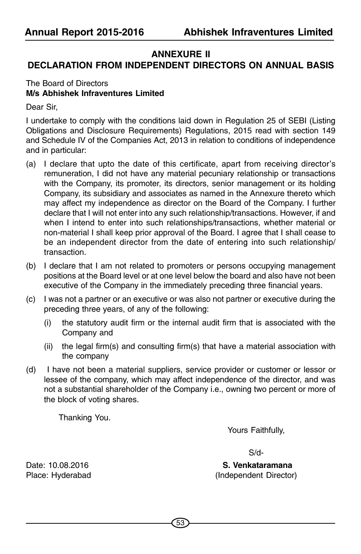## ANNEXURE II

## DECLARATION FROM INDEPENDENT DIRECTORS ON ANNUAL BASIS

#### The Board of Directors M/s Abhishek Infraventures Limited

Dear Sir,

I undertake to comply with the conditions laid down in Regulation 25 of SEBI (Listing Obligations and Disclosure Requirements) Regulations, 2015 read with section 149 and Schedule IV of the Companies Act, 2013 in relation to conditions of independence and in particular:

- (a) I declare that upto the date of this certificate, apart from receiving director's remuneration, I did not have any material pecuniary relationship or transactions with the Company, its promoter, its directors, senior management or its holding Company, its subsidiary and associates as named in the Annexure thereto which may affect my independence as director on the Board of the Company. I further declare that I will not enter into any such relationship/transactions. However, if and when I intend to enter into such relationships/transactions, whether material or non-material I shall keep prior approval of the Board. I agree that I shall cease to be an independent director from the date of entering into such relationship/ transaction.
- (b) I declare that I am not related to promoters or persons occupying management positions at the Board level or at one level below the board and also have not been executive of the Company in the immediately preceding three financial years.
- (c) I was not a partner or an executive or was also not partner or executive during the preceding three years, of any of the following:
	- (i) the statutory audit firm or the internal audit firm that is associated with the Company and
	- (ii) the legal firm(s) and consulting firm(s) that have a material association with the company
- (d) I have not been a material suppliers, service provider or customer or lessor or lessee of the company, which may affect independence of the director, and was not a substantial shareholder of the Company i.e., owning two percent or more of the block of voting shares.

Thanking You.

Yours Faithfully,

S/d-

Date: 10.08.2016 S. Venkataramana Place: Hyderabad (Independent Director)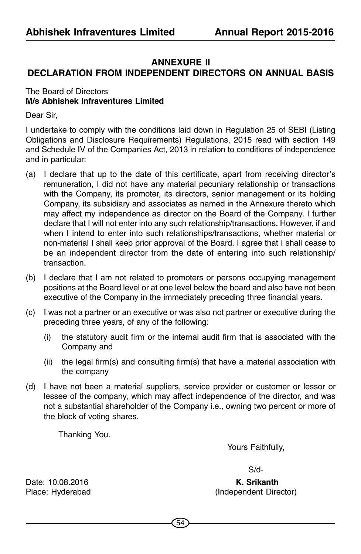## ANNEXURE II

## DECLARATION FROM INDEPENDENT DIRECTORS ON ANNUAL BASIS

#### The Board of Directors M/s Abhishek Infraventures Limited

Dear Sir,

I undertake to comply with the conditions laid down in Regulation 25 of SEBI (Listing Obligations and Disclosure Requirements) Regulations, 2015 read with section 149 and Schedule IV of the Companies Act, 2013 in relation to conditions of independence and in particular:

- (a) I declare that up to the date of this certificate, apart from receiving director's remuneration, I did not have any material pecuniary relationship or transactions with the Company, its promoter, its directors, senior management or its holding Company, its subsidiary and associates as named in the Annexure thereto which may affect my independence as director on the Board of the Company. I further declare that I will not enter into any such relationship/transactions. However, if and when I intend to enter into such relationships/transactions, whether material or non-material I shall keep prior approval of the Board. I agree that I shall cease to be an independent director from the date of entering into such relationship/ transaction.
- (b) I declare that I am not related to promoters or persons occupying management positions at the Board level or at one level below the board and also have not been executive of the Company in the immediately preceding three financial years.
- (c) I was not a partner or an executive or was also not partner or executive during the preceding three years, of any of the following:
	- (i) the statutory audit firm or the internal audit firm that is associated with the Company and
	- (ii) the legal firm(s) and consulting firm(s) that have a material association with the company
- (d) I have not been a material suppliers, service provider or customer or lessor or lessee of the company, which may affect independence of the director, and was not a substantial shareholder of the Company i.e., owning two percent or more of the block of voting shares.

Thanking You.

Yours Faithfully,

S/d-

Place: Hyderabad (Independent Director)

Date: 10.08.2016 **K. Srikanth**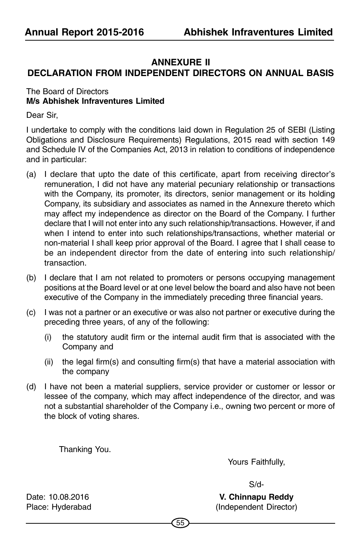## ANNEXURE II DECLARATION FROM INDEPENDENT DIRECTORS ON ANNUAL BASIS

#### The Board of Directors M/s Abhishek Infraventures Limited

Dear Sir,

I undertake to comply with the conditions laid down in Regulation 25 of SEBI (Listing Obligations and Disclosure Requirements) Regulations, 2015 read with section 149 and Schedule IV of the Companies Act, 2013 in relation to conditions of independence and in particular:

- (a) I declare that upto the date of this certificate, apart from receiving director's remuneration, I did not have any material pecuniary relationship or transactions with the Company, its promoter, its directors, senior management or its holding Company, its subsidiary and associates as named in the Annexure thereto which may affect my independence as director on the Board of the Company. I further declare that I will not enter into any such relationship/transactions. However, if and when I intend to enter into such relationships/transactions, whether material or non-material I shall keep prior approval of the Board. I agree that I shall cease to be an independent director from the date of entering into such relationship/ transaction.
- (b) I declare that I am not related to promoters or persons occupying management positions at the Board level or at one level below the board and also have not been executive of the Company in the immediately preceding three financial years.
- (c) I was not a partner or an executive or was also not partner or executive during the preceding three years, of any of the following:
	- (i) the statutory audit firm or the internal audit firm that is associated with the Company and
	- (ii) the legal firm(s) and consulting firm(s) that have a material association with the company
- (d) I have not been a material suppliers, service provider or customer or lessor or lessee of the company, which may affect independence of the director, and was not a substantial shareholder of the Company i.e., owning two percent or more of the block of voting shares.

Thanking You.

Yours Faithfully,

S/d-

Date: 10.08.2016 V. Chinnapu Reddy Place: Hyderabad (Independent Director)

55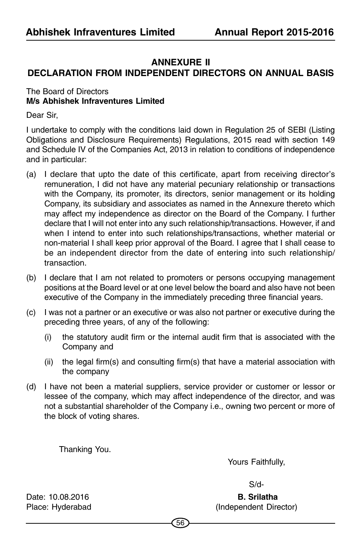## ANNEXURE II

## DECLARATION FROM INDEPENDENT DIRECTORS ON ANNUAL BASIS

#### The Board of Directors M/s Abhishek Infraventures Limited

Dear Sir,

I undertake to comply with the conditions laid down in Regulation 25 of SEBI (Listing Obligations and Disclosure Requirements) Regulations, 2015 read with section 149 and Schedule IV of the Companies Act, 2013 in relation to conditions of independence and in particular:

- (a) I declare that upto the date of this certificate, apart from receiving director's remuneration, I did not have any material pecuniary relationship or transactions with the Company, its promoter, its directors, senior management or its holding Company, its subsidiary and associates as named in the Annexure thereto which may affect my independence as director on the Board of the Company. I further declare that I will not enter into any such relationship/transactions. However, if and when I intend to enter into such relationships/transactions, whether material or non-material I shall keep prior approval of the Board. I agree that I shall cease to be an independent director from the date of entering into such relationship/ transaction.
- (b) I declare that I am not related to promoters or persons occupying management positions at the Board level or at one level below the board and also have not been executive of the Company in the immediately preceding three financial years.
- (c) I was not a partner or an executive or was also not partner or executive during the preceding three years, of any of the following:
	- (i) the statutory audit firm or the internal audit firm that is associated with the Company and
	- (ii) the legal firm(s) and consulting firm(s) that have a material association with the company
- (d) I have not been a material suppliers, service provider or customer or lessor or lessee of the company, which may affect independence of the director, and was not a substantial shareholder of the Company i.e., owning two percent or more of the block of voting shares.

Thanking You.

Yours Faithfully,

S/d-

Place: Hyderabad (Independent Director)

Date: 10.08.2016 **B. Srilatha** 

56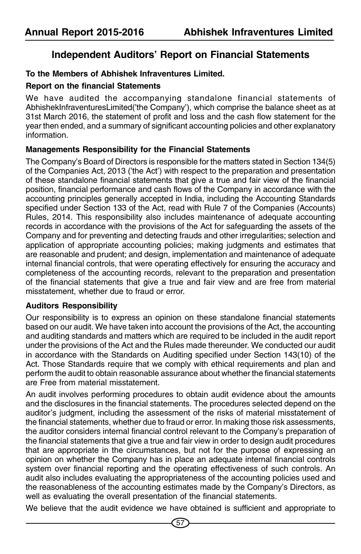## Independent Auditors' Report on Financial Statements

#### To the Members of Abhishek Infraventures Limited.

### Report on the financial Statements

We have audited the accompanying standalone financial statements of AbhishekInfraventuresLimited('the Company'), which comprise the balance sheet as at 31st March 2016, the statement of profit and loss and the cash flow statement for the year then ended, and a summary of significant accounting policies and other explanatory information.

#### Managements Responsibility for the Financial Statements

The Company's Board of Directors is responsible for the matters stated in Section 134(5) of the Companies Act, 2013 ('the Act') with respect to the preparation and presentation of these standalone financial statements that give a true and fair view of the financial position, financial performance and cash flows of the Company in accordance with the accounting principles generally accepted in India, including the Accounting Standards specified under Section 133 of the Act, read with Rule 7 of the Companies (Accounts) Rules, 2014. This responsibility also includes maintenance of adequate accounting records in accordance with the provisions of the Act for safeguarding the assets of the Company and for preventing and detecting frauds and other irregularities; selection and application of appropriate accounting policies; making judgments and estimates that are reasonable and prudent; and design, implementation and maintenance of adequate internal financial controls, that were operating effectively for ensuring the accuracy and completeness of the accounting records, relevant to the preparation and presentation of the financial statements that give a true and fair view and are free from material misstatement, whether due to fraud or error.

#### Auditors Responsibility

Our responsibility is to express an opinion on these standalone financial statements based on our audit. We have taken into account the provisions of the Act, the accounting and auditing standards and matters which are required to be included in the audit report under the provisions of the Act and the Rules made thereunder. We conducted our audit in accordance with the Standards on Auditing specified under Section 143(10) of the Act. Those Standards require that we comply with ethical requirements and plan and perform the audit to obtain reasonable assurance about whether the financial statements are Free from material misstatement.

An audit involves performing procedures to obtain audit evidence about the amounts and the disclosures in the financial statements. The procedures selected depend on the auditor's judgment, including the assessment of the risks of material misstatement of the financial statements, whether due to fraud or error. In making those risk assessments, the auditor considers internal financial control relevant to the Company's preparation of the financial statements that give a true and fair view in order to design audit procedures that are appropriate in the circumstances, but not for the purpose of expressing an opinion on whether the Company has in place an adequate internal financial controls system over financial reporting and the operating effectiveness of such controls. An audit also includes evaluating the appropriateness of the accounting policies used and the reasonableness of the accounting estimates made by the Company's Directors, as well as evaluating the overall presentation of the financial statements.

We believe that the audit evidence we have obtained is sufficient and appropriate to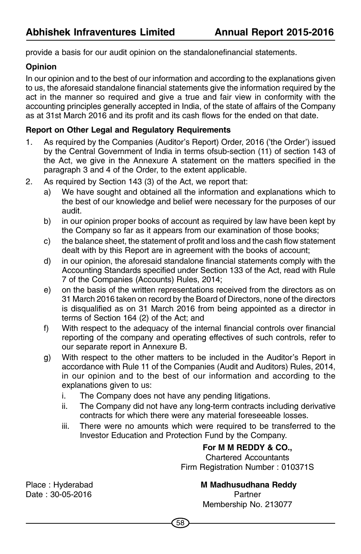provide a basis for our audit opinion on the standalonefinancial statements.

#### Opinion

In our opinion and to the best of our information and according to the explanations given to us, the aforesaid standalone financial statements give the information required by the act in the manner so required and give a true and fair view in conformity with the accounting principles generally accepted in India, of the state of affairs of the Company as at 31st March 2016 and its profit and its cash flows for the ended on that date.

#### Report on Other Legal and Regulatory Requirements

- 1. As required by the Companies (Auditor's Report) Order, 2016 ('the Order') issued by the Central Government of India in terms ofsub-section (11) of section 143 of the Act, we give in the Annexure A statement on the matters specified in the paragraph 3 and 4 of the Order, to the extent applicable.
- 2. As required by Section 143 (3) of the Act, we report that:
	- a) We have sought and obtained all the information and explanations which to the best of our knowledge and belief were necessary for the purposes of our audit.
	- b) in our opinion proper books of account as required by law have been kept by the Company so far as it appears from our examination of those books;
	- c) the balance sheet, the statement of profit and loss and the cash flow statement dealt with by this Report are in agreement with the books of account;
	- d) in our opinion, the aforesaid standalone financial statements comply with the Accounting Standards specified under Section 133 of the Act, read with Rule 7 of the Companies (Accounts) Rules, 2014;
	- e) on the basis of the written representations received from the directors as on 31 March 2016 taken on record by the Board of Directors, none of the directors is disqualified as on 31 March 2016 from being appointed as a director in terms of Section 164 (2) of the Act; and
	- f) With respect to the adequacy of the internal financial controls over financial reporting of the company and operating effectives of such controls, refer to our separate report in Annexure B.
	- g) With respect to the other matters to be included in the Auditor's Report in accordance with Rule 11 of the Companies (Audit and Auditors) Rules, 2014, in our opinion and to the best of our information and according to the explanations given to us:
		- i. The Company does not have any pending litigations.
		- ii. The Company did not have any long-term contracts including derivative contracts for which there were any material foreseeable losses.
		- iii. There were no amounts which were required to be transferred to the Investor Education and Protection Fund by the Company.

#### For M M REDDY & CO.,

Chartered Accountants Firm Registration Number : 010371S

Date : 30-05-2016 **Partner** 

Place : Hyderabad M Madhusudhana Reddy Membership No. 213077

58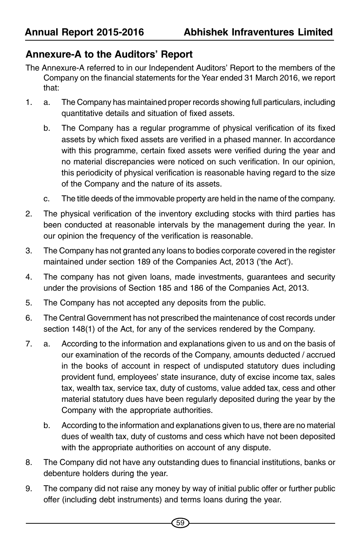## Annexure-A to the Auditors' Report

- The Annexure-A referred to in our Independent Auditors' Report to the members of the Company on the financial statements for the Year ended 31 March 2016, we report that:
- 1. a. The Company has maintained proper records showing full particulars, including quantitative details and situation of fixed assets.
	- b. The Company has a regular programme of physical verification of its fixed assets by which fixed assets are verified in a phased manner. In accordance with this programme, certain fixed assets were verified during the year and no material discrepancies were noticed on such verification. In our opinion, this periodicity of physical verification is reasonable having regard to the size of the Company and the nature of its assets.
	- c. The title deeds of the immovable property are held in the name of the company.
- 2. The physical verification of the inventory excluding stocks with third parties has been conducted at reasonable intervals by the management during the year. In our opinion the frequency of the verification is reasonable.
- 3. The Company has not granted any loans to bodies corporate covered in the register maintained under section 189 of the Companies Act, 2013 ('the Act').
- 4. The company has not given loans, made investments, guarantees and security under the provisions of Section 185 and 186 of the Companies Act, 2013.
- 5. The Company has not accepted any deposits from the public.
- 6. The Central Government has not prescribed the maintenance of cost records under section 148(1) of the Act, for any of the services rendered by the Company.
- 7. a. According to the information and explanations given to us and on the basis of our examination of the records of the Company, amounts deducted / accrued in the books of account in respect of undisputed statutory dues including provident fund, employees' state insurance, duty of excise income tax, sales tax, wealth tax, service tax, duty of customs, value added tax, cess and other material statutory dues have been regularly deposited during the year by the Company with the appropriate authorities.
	- b. According to the information and explanations given to us, there are no material dues of wealth tax, duty of customs and cess which have not been deposited with the appropriate authorities on account of any dispute.
- 8. The Company did not have any outstanding dues to financial institutions, banks or debenture holders during the year.
- 9. The company did not raise any money by way of initial public offer or further public offer (including debt instruments) and terms loans during the year.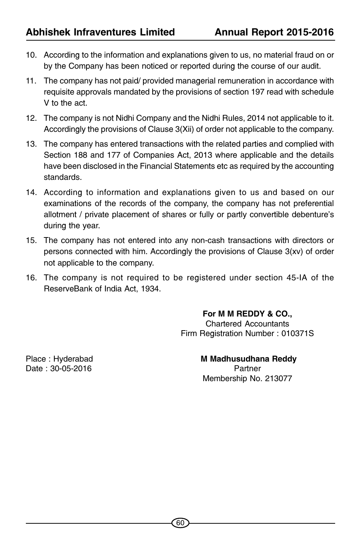- 10. According to the information and explanations given to us, no material fraud on or by the Company has been noticed or reported during the course of our audit.
- 11. The company has not paid/ provided managerial remuneration in accordance with requisite approvals mandated by the provisions of section 197 read with schedule V to the act.
- 12. The company is not Nidhi Company and the Nidhi Rules, 2014 not applicable to it. Accordingly the provisions of Clause 3(Xii) of order not applicable to the company.
- 13. The company has entered transactions with the related parties and complied with Section 188 and 177 of Companies Act, 2013 where applicable and the details have been disclosed in the Financial Statements etc as required by the accounting standards.
- 14. According to information and explanations given to us and based on our examinations of the records of the company, the company has not preferential allotment / private placement of shares or fully or partly convertible debenture's during the year.
- 15. The company has not entered into any non-cash transactions with directors or persons connected with him. Accordingly the provisions of Clause 3(xv) of order not applicable to the company.
- 16. The company is not required to be registered under section 45-IA of the ReserveBank of India Act, 1934.

For M M REDDY & CO., Chartered Accountants Firm Registration Number : 010371S

Date : 30-05-2016 **Partner** 

Place : Hyderabad M M Madhusudhana Reddy Membership No. 213077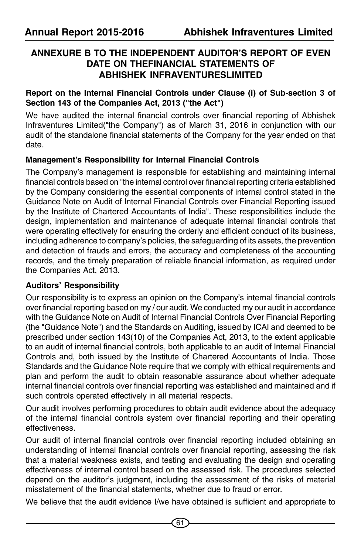## ANNEXURE B TO THE INDEPENDENT AUDITOR'S REPORT OF EVEN DATE ON THEFINANCIAL STATEMENTS OF ABHISHEK INFRAVENTURESLIMITED

#### Report on the Internal Financial Controls under Clause (i) of Sub-section 3 of Section 143 of the Companies Act, 2013 ("the Act")

We have audited the internal financial controls over financial reporting of Abhishek Infraventures Limited("the Company") as of March 31, 2016 in conjunction with our audit of the standalone financial statements of the Company for the year ended on that date.

### Management's Responsibility for Internal Financial Controls

The Company's management is responsible for establishing and maintaining internal financial controls based on "the internal control over financial reporting criteria established by the Company considering the essential components of internal control stated in the Guidance Note on Audit of Internal Financial Controls over Financial Reporting issued by the Institute of Chartered Accountants of India". These responsibilities include the design, implementation and maintenance of adequate internal financial controls that were operating effectively for ensuring the orderly and efficient conduct of its business, including adherence to company's policies, the safeguarding of its assets, the prevention and detection of frauds and errors, the accuracy and completeness of the accounting records, and the timely preparation of reliable financial information, as required under the Companies Act, 2013.

#### Auditors' Responsibility

Our responsibility is to express an opinion on the Company's internal financial controls over financial reporting based on my / our audit. We conducted my our audit in accordance with the Guidance Note on Audit of Internal Financial Controls Over Financial Reporting (the "Guidance Note") and the Standards on Auditing, issued by ICAI and deemed to be prescribed under section 143(10) of the Companies Act, 2013, to the extent applicable to an audit of internal financial controls, both applicable to an audit of Internal Financial Controls and, both issued by the Institute of Chartered Accountants of India. Those Standards and the Guidance Note require that we comply with ethical requirements and plan and perform the audit to obtain reasonable assurance about whether adequate internal financial controls over financial reporting was established and maintained and if such controls operated effectively in all material respects.

Our audit involves performing procedures to obtain audit evidence about the adequacy of the internal financial controls system over financial reporting and their operating effectiveness.

Our audit of internal financial controls over financial reporting included obtaining an understanding of internal financial controls over financial reporting, assessing the risk that a material weakness exists, and testing and evaluating the design and operating effectiveness of internal control based on the assessed risk. The procedures selected depend on the auditor's judgment, including the assessment of the risks of material misstatement of the financial statements, whether due to fraud or error.

We believe that the audit evidence I/we have obtained is sufficient and appropriate to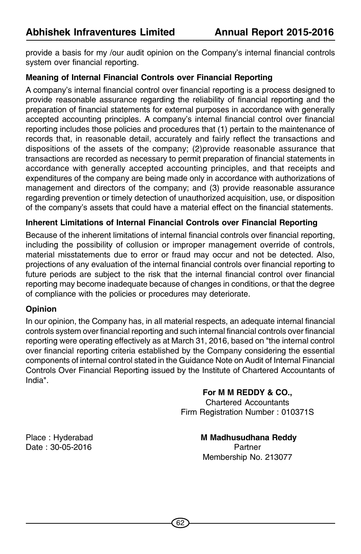provide a basis for my /our audit opinion on the Company's internal financial controls system over financial reporting.

#### Meaning of Internal Financial Controls over Financial Reporting

A company's internal financial control over financial reporting is a process designed to provide reasonable assurance regarding the reliability of financial reporting and the preparation of financial statements for external purposes in accordance with generally accepted accounting principles. A company's internal financial control over financial reporting includes those policies and procedures that (1) pertain to the maintenance of records that, in reasonable detail, accurately and fairly reflect the transactions and dispositions of the assets of the company; (2)provide reasonable assurance that transactions are recorded as necessary to permit preparation of financial statements in accordance with generally accepted accounting principles, and that receipts and expenditures of the company are being made only in accordance with authorizations of management and directors of the company; and (3) provide reasonable assurance regarding prevention or timely detection of unauthorized acquisition, use, or disposition of the company's assets that could have a material effect on the financial statements.

#### Inherent Limitations of Internal Financial Controls over Financial Reporting

Because of the inherent limitations of internal financial controls over financial reporting, including the possibility of collusion or improper management override of controls, material misstatements due to error or fraud may occur and not be detected. Also, projections of any evaluation of the internal financial controls over financial reporting to future periods are subject to the risk that the internal financial control over financial reporting may become inadequate because of changes in conditions, or that the degree of compliance with the policies or procedures may deteriorate.

#### Opinion

In our opinion, the Company has, in all material respects, an adequate internal financial controls system over financial reporting and such internal financial controls over financial reporting were operating effectively as at March 31, 2016, based on "the internal control over financial reporting criteria established by the Company considering the essential components of internal control stated in the Guidance Note on Audit of Internal Financial Controls Over Financial Reporting issued by the Institute of Chartered Accountants of India".

For M M REDDY & CO.,

Chartered Accountants Firm Registration Number : 010371S

Date : 30-05-2016 **Partner** 

Place : Hyderabad M Madhusudhana Reddy Membership No. 213077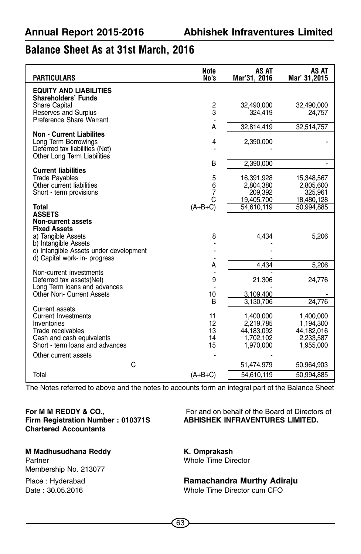# Balance Sheet As at 31st March, 2016

| <b>PARTICULARS</b>                                             | <b>Note</b><br>No's | AS AT<br>Mar'31, 2016   | AS AT<br>Mar' 31,2015   |
|----------------------------------------------------------------|---------------------|-------------------------|-------------------------|
| <b>EQUITY AND LIABILITIES</b><br><b>Shareholders' Funds</b>    |                     |                         |                         |
| Share Capital                                                  | 2                   | 32,490,000              | 32,490,000              |
| Reserves and Surplus<br>Preference Share Warrant               | 3                   | 324,419                 | 24,757                  |
|                                                                | A                   | 32,814,419              | 32,514,757              |
| <b>Non - Current Liabilites</b><br>Long Term Borrowings        | 4                   | 2,390,000               |                         |
| Deferred tax liabilities (Net)                                 |                     |                         |                         |
| Other Long Term Liabilities                                    | B                   | 2,390,000               |                         |
| <b>Current liabilities</b>                                     |                     |                         |                         |
| <b>Trade Payables</b><br>Other current liabilities             | 5                   | 16,391,928<br>2,804,380 | 15,348,567<br>2,805,600 |
| Short - term provisions                                        | $\frac{6}{7}$       | 209,392                 | 325,961                 |
|                                                                | C                   | 19,405,700              | 18,480,128              |
| <b>Total</b><br><b>ASSETS</b>                                  | $(A+B+C)$           | 54,610,119              | 50,994,885              |
| <b>Non-current assets</b>                                      |                     |                         |                         |
| <b>Fixed Assets</b>                                            |                     |                         |                         |
| a) Tangible Assets                                             | 8                   | 4,434                   | 5,206                   |
| b) Intangible Assets<br>c) Intangible Assets under development |                     |                         |                         |
| d) Capital work- in- progress                                  |                     |                         |                         |
|                                                                | Α                   | 4,434                   | 5,206                   |
| Non-current investments<br>Deferred tax assets(Net)            | 9                   | 21,306                  | 24,776                  |
| Long Term loans and advances                                   |                     |                         |                         |
| Other Non- Current Assets                                      | 10<br><sub>B</sub>  | 3.109.400               |                         |
| Current assets                                                 |                     | 3,130,706               | 24,776                  |
| <b>Current Investments</b>                                     | 11                  | 1,400,000               | 1,400,000               |
| Inventories                                                    | 12                  | 2,219,785               | 1,194,300               |
| Trade receivables<br>Cash and cash equivalents                 | 13<br>14            | 44,183,092<br>1,702,102 | 44,182,016<br>2,233,587 |
| Short - term loans and advances                                | 15                  | 1,970,000               | 1,955,000               |
| Other current assets                                           |                     |                         |                         |
| С                                                              |                     | 51,474,979              | 50,964,903              |
| Total                                                          | $(A+B+C)$           | 54,610,119              | 50,994,885              |

The Notes referred to above and the notes to accounts form an integral part of the Balance Sheet

Chartered Accountants

For M M REDDY & CO.,<br>Firm Registration Number: 010371S ABHISHEK INFRAVENTURES LIMITED. ABHISHEK INFRAVENTURES LIMITED.

**M Madhusudhana Reddy K. Omprakash**<br>Partner Whole Time Dir Membership No. 213077

Whole Time Director

Place : Hyderabad **Ramachandra Murthy Adiraju** Date : 30.05.2016 Whole Time Director cum CFO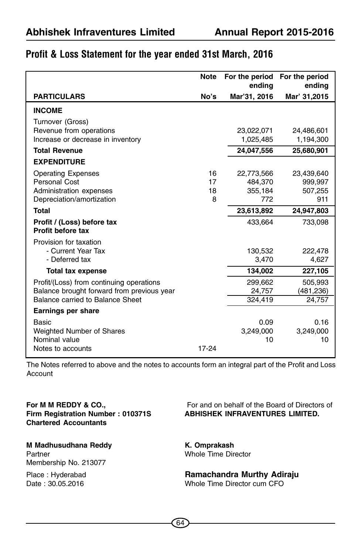## Profit & Loss Statement for the year ended 31st March, 2016

|                                            | <b>Note</b> | ending       | For the period For the period<br>ending |
|--------------------------------------------|-------------|--------------|-----------------------------------------|
| <b>PARTICULARS</b>                         | No's        | Mar'31, 2016 | Mar' 31,2015                            |
| <b>INCOME</b>                              |             |              |                                         |
| Turnover (Gross)                           |             |              |                                         |
| Revenue from operations                    |             | 23,022,071   | 24,486,601                              |
| Increase or decrease in inventory          |             | 1,025,485    | 1,194,300                               |
| <b>Total Revenue</b>                       |             | 24,047,556   | 25,680,901                              |
| <b>EXPENDITURE</b>                         |             |              |                                         |
| <b>Operating Expenses</b>                  | 16          | 22,773,566   | 23,439,640                              |
| Personal Cost                              | 17          | 484,370      | 999,997                                 |
| Administration expenses                    | 18          | 355,184      | 507,255                                 |
| Depreciation/amortization                  | 8           | 772          | 911                                     |
| <b>Total</b>                               |             | 23,613,892   | 24,947,803                              |
| Profit / (Loss) before tax                 |             | 433,664      | 733,098                                 |
| Profit before tax                          |             |              |                                         |
| Provision for taxation                     |             |              |                                         |
| - Current Year Tax                         |             | 130,532      | 222,478                                 |
| - Deferred tax                             |             | 3,470        | 4,627                                   |
| <b>Total tax expense</b>                   |             | 134,002      | 227,105                                 |
| Profit/(Loss) from continuing operations   |             | 299,662      | 505,993                                 |
| Balance brought forward from previous year |             | 24,757       | (481, 236)                              |
| Balance carried to Balance Sheet           |             | 324,419      | 24,757                                  |
| Earnings per share                         |             |              |                                         |
| Basic                                      |             | 0.09         | 0.16                                    |
| <b>Weighted Number of Shares</b>           |             | 3,249,000    | 3,249,000                               |
| Nominal value                              |             | 10           | 10                                      |
| Notes to accounts                          | 17-24       |              |                                         |

The Notes referred to above and the notes to accounts form an integral part of the Profit and Loss Account

Firm Registration Number : 010371S Chartered Accountants

M Madhusudhana Reddy K. Omprakash Partner **Partner Whole Time Director** Membership No. 213077

For M M REDDY & CO.,<br>Firm Registration Number: 010371S ABHISHEK INFRAVENTURES LIMITED.

Place : Hyderabad **Ramachandra Murthy Adiraju**<br>
Date : 30.05.2016 **Ramachandra Murthy Adiraju**<br>
Whole Time Director cum CFO

Whole Time Director cum CFO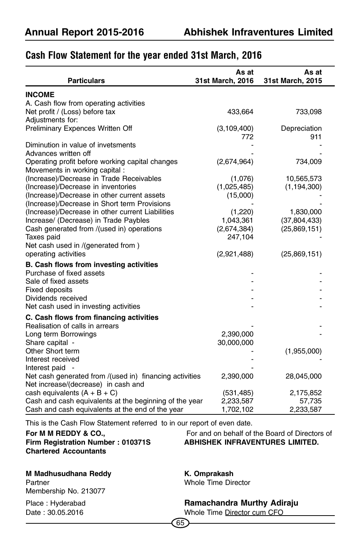## Cash Flow Statement for the year ended 31st March, 2016

| <b>Particulars</b>                                                                | As at                | As at               |
|-----------------------------------------------------------------------------------|----------------------|---------------------|
|                                                                                   | 31st March, 2016     | 31st March, 2015    |
| <b>INCOME</b>                                                                     |                      |                     |
| A. Cash flow from operating activities                                            |                      |                     |
| Net profit / (Loss) before tax                                                    | 433,664              | 733,098             |
| Adjustments for:                                                                  |                      |                     |
| Preliminary Expences Written Off                                                  | (3, 109, 400)<br>772 | Depreciation<br>911 |
| Diminution in value of invetsments                                                |                      |                     |
| Advances written off                                                              |                      |                     |
| Operating profit before working capital changes<br>Movements in working capital : | (2,674,964)          | 734,009             |
| (Increase)/Decrease in Trade Receivables                                          | (1,076)              | 10,565,573          |
| (Increase)/Decrease in inventories                                                | (1,025,485)          | (1, 194, 300)       |
| (Increase)/Decrease in other current assets                                       | (15,000)             |                     |
| (Increase)/Decrease in Short term Provisions                                      |                      |                     |
| (Increase)/Decrease in other current Liabilities                                  | (1,220)              | 1,830,000           |
| Increase/ (Decrease) in Trade Paybles                                             | 1,043,361            | (37,804,433)        |
| Cash generated from /(used in) operations                                         | (2,674,384)          | (25,869,151)        |
| Taxes paid                                                                        | 247,104              |                     |
| Net cash used in /(generated from)                                                |                      |                     |
| operating activities                                                              | (2,921,488)          | (25,869,151)        |
| <b>B. Cash flows from investing activities</b>                                    |                      |                     |
| Purchase of fixed assets                                                          |                      |                     |
| Sale of fixed assets                                                              |                      |                     |
| Fixed deposits                                                                    |                      |                     |
| Dividends received                                                                |                      |                     |
| Net cash used in investing activities                                             |                      |                     |
| C. Cash flows from financing activities                                           |                      |                     |
| Realisation of calls in arrears                                                   |                      |                     |
| Long term Borrowings                                                              | 2,390,000            |                     |
| Share capital -                                                                   | 30,000,000           |                     |
| Other Short term                                                                  |                      | (1,955,000)         |
| Interest received                                                                 |                      |                     |
| Interest paid                                                                     |                      |                     |
| Net cash generated from /(used in) financing activities                           | 2,390,000            | 28,045,000          |
| Net increase/(decrease) in cash and                                               |                      |                     |
| cash equivalents $(A + B + C)$                                                    | (531, 485)           | 2,175,852           |
| Cash and cash equivalents at the beginning of the year                            | 2,233,587            | 57,735              |
| Cash and cash equivalents at the end of the year                                  | 1,702,102            | 2,233,587           |

This is the Cash Flow Statement referred to in our report of even date.

Chartered Accountants

M Madhusudhana Reddy K. Omprakash

Partner **Partner Whole Time Director** Membership No. 213077

For M M REDDY & CO.,<br>
For and on behalf of the Board of Directors of<br>
Firm Registration Number: 010371S<br>
ABHISHEK INFRAVENTURES LIMITED. ABHISHEK INFRAVENTURES LIMITED.

Place : Hyderabad **Ramachandra Murthy Adiraju** Date : 30.05.2016 Whole Time Director cum CFO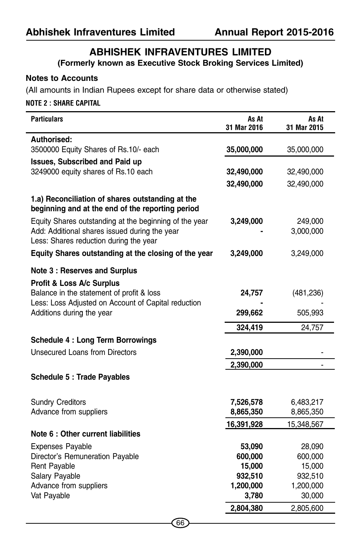# ABHISHEK INFRAVENTURES LIMITED

## (Formerly known as Executive Stock Broking Services Limited)

#### Notes to Accounts

(All amounts in Indian Rupees except for share data or otherwise stated)

#### NOTE 2 : SHARE CAPITAL

| <b>Particulars</b>                                                                                   | As At<br>31 Mar 2016 | As At<br>31 Mar 2015 |
|------------------------------------------------------------------------------------------------------|----------------------|----------------------|
| Authorised:                                                                                          |                      |                      |
| 3500000 Equity Shares of Rs.10/- each                                                                | 35,000,000           | 35,000,000           |
| <b>Issues, Subscribed and Paid up</b>                                                                |                      |                      |
| 3249000 equity shares of Rs.10 each                                                                  | 32,490,000           | 32,490,000           |
|                                                                                                      | 32,490,000           | 32,490,000           |
| 1.a) Reconciliation of shares outstanding at the<br>beginning and at the end of the reporting period |                      |                      |
| Equity Shares outstanding at the beginning of the year                                               | 3,249,000            | 249,000              |
| Add: Additional shares issued during the year<br>Less: Shares reduction during the year              |                      | 3,000,000            |
| Equity Shares outstanding at the closing of the year                                                 | 3,249,000            | 3,249,000            |
| <b>Note 3: Reserves and Surplus</b>                                                                  |                      |                      |
| <b>Profit &amp; Loss A/c Surplus</b>                                                                 |                      |                      |
| Balance in the statement of profit & loss                                                            | 24,757               | (481, 236)           |
| Less: Loss Adjusted on Account of Capital reduction                                                  |                      |                      |
| Additions during the year                                                                            | 299,662              | 505,993              |
|                                                                                                      | 324,419              | 24,757               |
| <b>Schedule 4: Long Term Borrowings</b>                                                              |                      |                      |
| Unsecured Loans from Directors                                                                       | 2,390,000            |                      |
|                                                                                                      | 2,390,000            |                      |
| <b>Schedule 5 : Trade Payables</b>                                                                   |                      |                      |
| <b>Sundry Creditors</b>                                                                              | 7,526,578            | 6,483,217            |
| Advance from suppliers                                                                               | 8,865,350            | 8,865,350            |
|                                                                                                      | 16,391,928           | 15,348,567           |
| Note 6: Other current liabilities                                                                    |                      |                      |
| <b>Expenses Payable</b>                                                                              | 53,090               | 28,090               |
| Director's Remuneration Payable                                                                      | 600,000              | 600,000              |
| Rent Payable                                                                                         | 15,000               | 15,000               |
| Salary Payable<br>Advance from suppliers                                                             | 932,510<br>1,200,000 | 932,510<br>1,200,000 |
| Vat Payable                                                                                          | 3,780                | 30,000               |
|                                                                                                      | 2,804,380            | 2,805,600            |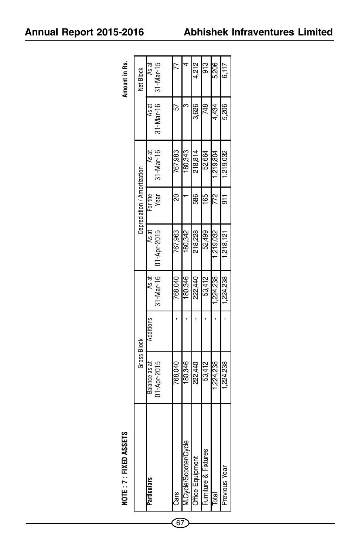# Annual Report 2015-2016 Abhishek Infraventures Limited

| NOTE : 7 : Fixed Assets |                              |           |           |                                  |                             |                          |                          | Amount in Rs.      |
|-------------------------|------------------------------|-----------|-----------|----------------------------------|-----------------------------|--------------------------|--------------------------|--------------------|
|                         | <b>Gross Block</b>           |           |           |                                  | Depreciation / Amortization |                          |                          | Net Block          |
| <b>Particulars</b>      | 01-Apr-2015<br>Balance as at | Additions | As at     | As at<br>31-Mar-16   01-Apr-2015 | For the<br>Year             | $31 - 1$ Mar-16<br>As at | $31 - Max - 16$<br>As at | As at<br>31-Mar-15 |
| Cars                    | 768,040                      |           | 768,040   | 767,963                          | ລ                           | 767,983                  | 57                       |                    |
| M.Cycle/Scooter/Cycle   | 180,346                      |           | 180,346   | 180,342                          |                             | 180,343                  |                          |                    |
| Office Equipment        | 222,440                      |           | 222,440   | 218,228                          | 586                         | 218,814                  | 3,626                    | 4,212              |
| Furniture & Fixtures    | 53,412                       |           | 53,412    | 52,499                           | 165                         | 52,664                   | 748                      | ြို့               |
| Total                   | 1,224,238                    |           | 1,224,238 | 1,219,032                        | 772                         | 1,219,804                | 4,434                    | 5,206              |
| Previous Year           | 1,224,238                    |           | 1,224,238 | 1,218,121                        | $\frac{1}{2}$               | 1,219,032                | 5,206                    | 6.117              |
|                         |                              |           |           |                                  |                             |                          |                          |                    |

<u>67</u>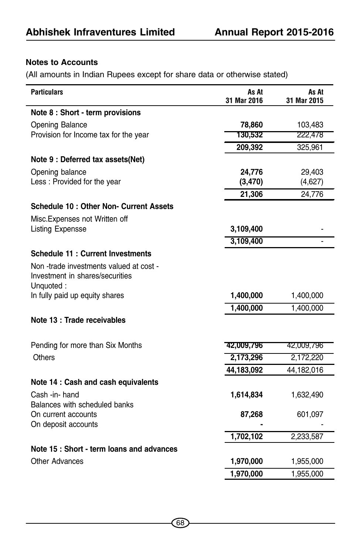## Notes to Accounts

(All amounts in Indian Rupees except for share data or otherwise stated)

| <b>Particulars</b>                                                                     | As At<br>31 Mar 2016 | As At<br>31 Mar 2015 |
|----------------------------------------------------------------------------------------|----------------------|----------------------|
| Note 8 : Short - term provisions                                                       |                      |                      |
| Opening Balance                                                                        | 78,860               | 103,483              |
| Provision for Income tax for the year                                                  | 130,532              | 222,478              |
|                                                                                        | 209,392              | 325,961              |
| Note 9 : Deferred tax assets(Net)                                                      |                      |                      |
| Opening balance                                                                        | 24,776               | 29,403               |
| Less: Provided for the year                                                            | (3, 470)             | (4,627)              |
|                                                                                        | 21,306               | 24,776               |
| <b>Schedule 10: Other Non- Current Assets</b>                                          |                      |                      |
| Misc. Expenses not Written off                                                         |                      |                      |
| <b>Listing Expensse</b>                                                                | 3,109,400            |                      |
|                                                                                        | 3,109,400            |                      |
| <b>Schedule 11: Current Investments</b>                                                |                      |                      |
| Non-trade investments valued at cost -<br>Investment in shares/securities<br>Unquoted: |                      |                      |
| In fully paid up equity shares                                                         | 1,400,000            | 1,400,000            |
|                                                                                        | 1,400,000            | 1,400,000            |
| Note 13 : Trade receivables                                                            |                      |                      |
| Pending for more than Six Months                                                       | 42,009,796           | 42,009,796           |
| <b>Others</b>                                                                          | 2,173,296            | 2,172,220            |
|                                                                                        | 44,183,092           | 44,182,016           |
| Note 14 : Cash and cash equivalents                                                    |                      |                      |
| Cash -in- hand                                                                         | 1,614,834            | 1,632,490            |
| Balances with scheduled banks                                                          |                      |                      |
| On current accounts                                                                    | 87,268               | 601,097              |
| On deposit accounts                                                                    |                      |                      |
|                                                                                        | 1,702,102            | 2,233,587            |
| Note 15 : Short - term loans and advances                                              |                      |                      |
| <b>Other Advances</b>                                                                  | 1,970,000            | 1,955,000            |
|                                                                                        | 1,970,000            | 1,955,000            |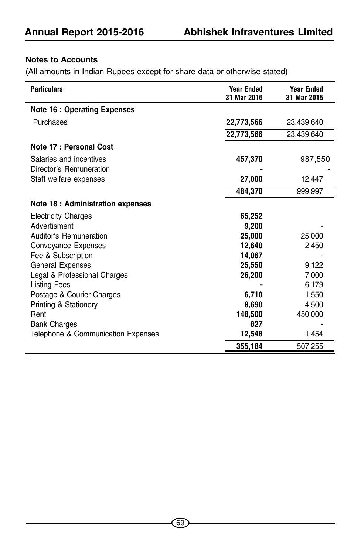### Notes to Accounts

(All amounts in Indian Rupees except for share data or otherwise stated)

| <b>Particulars</b>                  | <b>Year Ended</b><br>31 Mar 2016 | <b>Year Ended</b><br>31 Mar 2015 |
|-------------------------------------|----------------------------------|----------------------------------|
| <b>Note 16 : Operating Expenses</b> |                                  |                                  |
| Purchases                           | 22,773,566                       | 23,439,640                       |
|                                     | 22,773,566                       | 23,439,640                       |
| Note 17: Personal Cost              |                                  |                                  |
| Salaries and incentives             | 457,370                          | 987,550                          |
| Director's Remuneration             |                                  |                                  |
| Staff welfare expenses              | 27,000                           | 12,447                           |
|                                     | 484,370                          | 999,997                          |
| Note 18 : Administration expenses   |                                  |                                  |
| <b>Electricity Charges</b>          | 65,252                           |                                  |
| Advertisment                        | 9,200                            |                                  |
| Auditor's Remuneration              | 25,000                           | 25,000                           |
| Conveyance Expenses                 | 12,640                           | 2,450                            |
| Fee & Subscription                  | 14,067                           |                                  |
| General Expenses                    | 25,550                           | 9,122                            |
| Legal & Professional Charges        | 26,200                           | 7,000                            |
| <b>Listing Fees</b>                 |                                  | 6,179                            |
| Postage & Courier Charges           | 6,710                            | 1,550                            |
| Printing & Stationery               | 8,690                            | 4,500                            |
| Rent                                | 148,500                          | 450,000                          |
| <b>Bank Charges</b>                 | 827                              |                                  |
| Telephone & Communication Expenses  | 12,548                           | 1,454                            |
|                                     | 355,184                          | 507,255                          |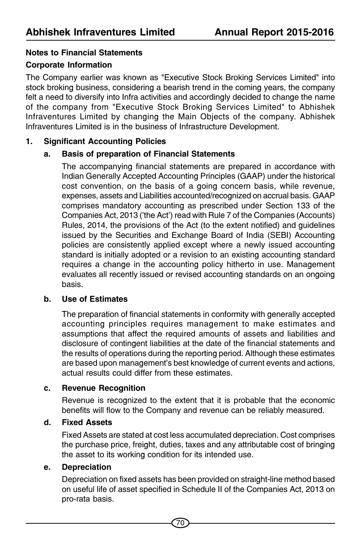#### Notes to Financial Statements

#### Corporate Information

The Company earlier was known as "Executive Stock Broking Services Limited" into stock broking business, considering a bearish trend in the coming years, the company felt a need to diversify into Infra activities and accordingly decided to change the name of the company from "Executive Stock Broking Services Limited" to Abhishek Infraventures Limited by changing the Main Objects of the company. Abhishek Infraventures Limited is in the business of Infrastructure Development.

#### 1. Significant Accounting Policies

#### a. Basis of preparation of Financial Statements

The accompanying financial statements are prepared in accordance with Indian Generally Accepted Accounting Principles (GAAP) under the historical cost convention, on the basis of a going concern basis, while revenue, expenses, assets and Liabilities accounted/recognized on accrual basis. GAAP comprises mandatory accounting as prescribed under Section 133 of the Companies Act, 2013 ('the Act') read with Rule 7 of the Companies (Accounts) Rules, 2014, the provisions of the Act (to the extent notified) and guidelines issued by the Securities and Exchange Board of India (SEBI) Accounting policies are consistently applied except where a newly issued accounting standard is initially adopted or a revision to an existing accounting standard requires a change in the accounting policy hitherto in use. Management evaluates all recently issued or revised accounting standards on an ongoing basis.

#### b. Use of Estimates

The preparation of financial statements in conformity with generally accepted accounting principles requires management to make estimates and assumptions that affect the required amounts of assets and liabilities and disclosure of contingent liabilities at the date of the financial statements and the results of operations during the reporting period. Although these estimates are based upon management's best knowledge of current events and actions, actual results could differ from these estimates.

#### c. Revenue Recognition

Revenue is recognized to the extent that it is probable that the economic benefits will flow to the Company and revenue can be reliably measured.

#### d. Fixed Assets

Fixed Assets are stated at cost less accumulated depreciation. Cost comprises the purchase price, freight, duties, taxes and any attributable cost of bringing the asset to its working condition for its intended use.

#### e. Depreciation

Depreciation on fixed assets has been provided on straight-line method based on useful life of asset specified in Schedule II of the Companies Act, 2013 on pro-rata basis.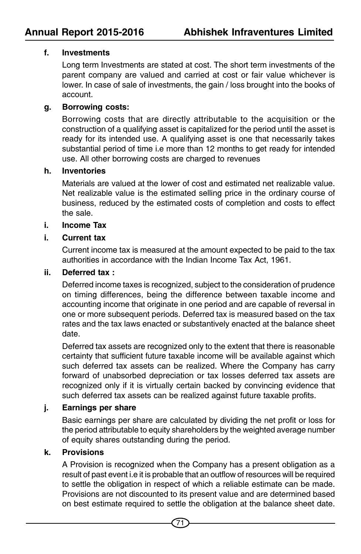#### f. Investments

Long term Investments are stated at cost. The short term investments of the parent company are valued and carried at cost or fair value whichever is lower. In case of sale of investments, the gain / loss brought into the books of account.

#### g. Borrowing costs:

Borrowing costs that are directly attributable to the acquisition or the construction of a qualifying asset is capitalized for the period until the asset is ready for its intended use. A qualifying asset is one that necessarily takes substantial period of time i.e more than 12 months to get ready for intended use. All other borrowing costs are charged to revenues

#### h. Inventories

Materials are valued at the lower of cost and estimated net realizable value. Net realizable value is the estimated selling price in the ordinary course of business, reduced by the estimated costs of completion and costs to effect the sale.

#### i. Income Tax

#### i. Current tax

Current income tax is measured at the amount expected to be paid to the tax authorities in accordance with the Indian Income Tax Act, 1961.

#### ii. Deferred tax :

Deferred income taxes is recognized, subject to the consideration of prudence on timing differences, being the difference between taxable income and accounting income that originate in one period and are capable of reversal in one or more subsequent periods. Deferred tax is measured based on the tax rates and the tax laws enacted or substantively enacted at the balance sheet date.

Deferred tax assets are recognized only to the extent that there is reasonable certainty that sufficient future taxable income will be available against which such deferred tax assets can be realized. Where the Company has carry forward of unabsorbed depreciation or tax losses deferred tax assets are recognized only if it is virtually certain backed by convincing evidence that such deferred tax assets can be realized against future taxable profits.

#### j. Earnings per share

Basic earnings per share are calculated by dividing the net profit or loss for the period attributable to equity shareholders by the weighted average number of equity shares outstanding during the period.

#### k. Provisions

A Provision is recognized when the Company has a present obligation as a result of past event i.e it is probable that an outflow of resources will be required to settle the obligation in respect of which a reliable estimate can be made. Provisions are not discounted to its present value and are determined based on best estimate required to settle the obligation at the balance sheet date.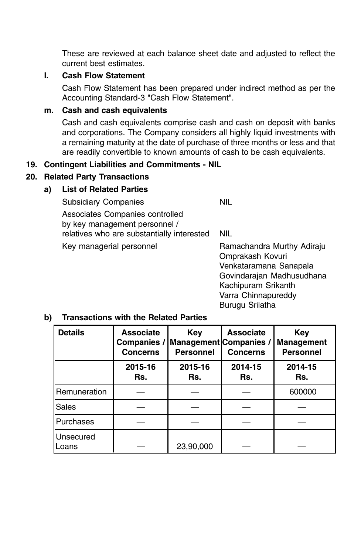These are reviewed at each balance sheet date and adjusted to reflect the current best estimates.

#### l. Cash Flow Statement

Cash Flow Statement has been prepared under indirect method as per the Accounting Standard-3 "Cash Flow Statement".

#### m. Cash and cash equivalents

Cash and cash equivalents comprise cash and cash on deposit with banks and corporations. The Company considers all highly liquid investments with a remaining maturity at the date of purchase of three months or less and that are readily convertible to known amounts of cash to be cash equivalents.

#### 19. Contingent Liabilities and Commitments - NIL

#### 20. Related Party Transactions

#### a) List of Related Parties

Subsidiary Companies NIL

Associates Companies controlled by key management personnel / relatives who are substantially interested NIL

Key managerial personnel **Ramachandra Murthy Adiraju** Omprakash Kovuri Venkataramana Sanapala Govindarajan Madhusudhana Kachipuram Srikanth Varra Chinnapureddy Burugu Srilatha

#### b) Transactions with the Related Parties

| <b>Details</b>     | <b>Associate</b><br>Companies /<br><b>Concerns</b> | Key<br>Management Companies /<br><b>Personnel</b> | <b>Associate</b><br><b>Concerns</b> | Key<br><b>Management</b><br><b>Personnel</b> |
|--------------------|----------------------------------------------------|---------------------------------------------------|-------------------------------------|----------------------------------------------|
|                    | 2015-16<br>Rs.                                     | 2015-16<br>Rs.                                    | 2014-15<br>Rs.                      | 2014-15<br>Rs.                               |
| Remuneration       |                                                    |                                                   |                                     | 600000                                       |
| Sales              |                                                    |                                                   |                                     |                                              |
| <b>Purchases</b>   |                                                    |                                                   |                                     |                                              |
| Unsecured<br>Loans |                                                    | 23,90,000                                         |                                     |                                              |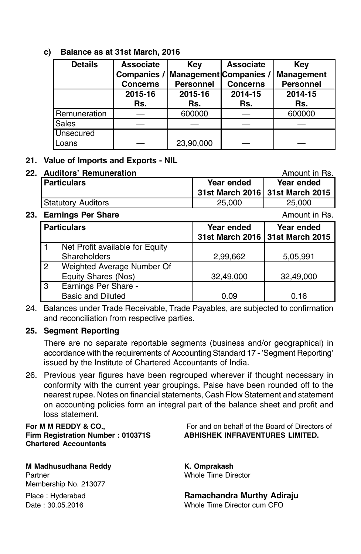#### c) Balance as at 31st March, 2016

| <b>Details</b>     | <b>Associate</b><br><b>Concerns</b> | Key<br>Companies / Management Companies /<br><b>Personnel</b> | <b>Associate</b><br><b>Concerns</b> | Kev<br><b>Management</b><br><b>Personnel</b> |
|--------------------|-------------------------------------|---------------------------------------------------------------|-------------------------------------|----------------------------------------------|
|                    | 2015-16<br>Rs.                      | 2015-16<br>Rs.                                                | 2014-15<br>Rs.                      | 2014-15<br>Rs.                               |
| Remuneration       |                                     | 600000                                                        |                                     | 600000                                       |
| Sales              |                                     |                                                               |                                     |                                              |
| Unsecured<br>Loans |                                     | 23,90,000                                                     |                                     |                                              |

#### 21. Value of Imports and Exports - NIL

#### 22. Auditors' Remuneration Amount in Rs.

| AUGUNI INITIO ANG ANG     |                                                 |            |  |  |
|---------------------------|-------------------------------------------------|------------|--|--|
| <b>Particulars</b>        | Year ended<br>31st March 2016   31st March 2015 | Year ended |  |  |
| <b>Statutory Auditors</b> | 25,000                                          | 25.000     |  |  |

#### 23. Earnings Per Share Amount in Research 1998. Amount in Research 1998.

|                    | סווט וס ו כוחווווואם            |                                                 | ATIVATIL III 19. |
|--------------------|---------------------------------|-------------------------------------------------|------------------|
| <b>Particulars</b> |                                 | Year ended<br>31st March 2016   31st March 2015 | Year ended       |
|                    | Net Profit available for Equity |                                                 |                  |
|                    | Shareholders                    | 2,99,662                                        | 5,05,991         |
| $\overline{2}$     | Weighted Average Number Of      |                                                 |                  |
|                    | Equity Shares (Nos)             | 32,49,000                                       | 32,49,000        |
| 3                  | Earnings Per Share -            |                                                 |                  |
|                    | <b>Basic and Diluted</b>        | 0.09                                            | 0.16             |

24. Balances under Trade Receivable, Trade Payables, are subjected to confirmation and reconciliation from respective parties.

#### 25. Segment Reporting

There are no separate reportable segments (business and/or geographical) in accordance with the requirements of Accounting Standard 17 - 'Segment Reporting' issued by the Institute of Chartered Accountants of India.

26. Previous year figures have been regrouped wherever if thought necessary in conformity with the current year groupings. Paise have been rounded off to the nearest rupee. Notes on financial statements, Cash Flow Statement and statement on accounting policies form an integral part of the balance sheet and profit and loss statement.

Firm Registration Number : 010371S Chartered Accountants

For M M REDDY & CO.,<br>Firm Registration Number: 010371S<br>ABHISHEK INFRAVENTURES I IMITED.

M Madhusudhana Reddy K. Omprakash Partner **Partner** Partner Whole Time Director Membership No. 213077

Place : Hyderabad **Ramachandra Murthy Adiraju**<br>
Date : 30.05.2016 **Ramachandra Murthy Adiraju**<br>
Whole Time Director cum CFO Whole Time Director cum CFO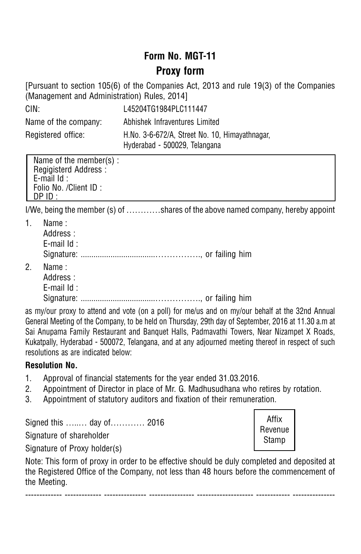## Form No. MGT-11 Proxy form

[Pursuant to section 105(6) of the Companies Act, 2013 and rule 19(3) of the Companies (Management and Administration) Rules, 2014]

CIN: L45204TG1984PLC111447 Name of the company: Abhishek Infraventures Limited Registered office: H.No. 3-6-672/A, Street No. 10, Himayathnagar, Hyderabad - 500029, Telangana

Name of the member(s) : Regigisterd Address : E-mail Id : Folio No. /Client ID : DP ID :

I/We, being the member (s) of …………shares of the above named company, hereby appoint

| 1. | Name:<br>Address:<br>$F$ -mail $Id$ : |  |
|----|---------------------------------------|--|
| 2  | Name:<br>Address:<br>$F$ -mail $Id$ : |  |

as my/our proxy to attend and vote (on a poll) for me/us and on my/our behalf at the 32nd Annual General Meeting of the Company, to be held on Thursday, 29th day of September, 2016 at 11.30 a.m at Sai Anupama Family Restaurant and Banquet Halls, Padmavathi Towers, Near Nizampet X Roads, Kukatpally, Hyderabad - 500072, Telangana, and at any adjourned meeting thereof in respect of such resolutions as are indicated below:

### Resolution No.

- 1. Approval of financial statements for the year ended 31.03.2016.
- 2. Appointment of Director in place of Mr. G. Madhusudhana who retires by rotation.
- 3. Appointment of statutory auditors and fixation of their remuneration.

Signed this …..… day of………… 2016 Signature of shareholder Signature of Proxy holder(s)

Affix Revenue Stamp

Note: This form of proxy in order to be effective should be duly completed and deposited at the Registered Office of the Company, not less than 48 hours before the commencement of the Meeting.

------------- ------------- --------------- ---------------- -------------------- ------------ ---------------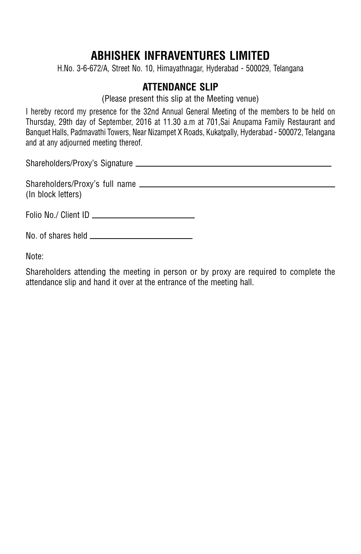# ABHISHEK INFRAVENTURES LIMITED

H.No. 3-6-672/A, Street No. 10, Himayathnagar, Hyderabad - 500029, Telangana

## ATTENDANCE SLIP

(Please present this slip at the Meeting venue)

I hereby record my presence for the 32nd Annual General Meeting of the members to be held on Thursday, 29th day of September, 2016 at 11.30 a.m at 701,Sai Anupama Family Restaurant and Banquet Halls, Padmavathi Towers, Near Nizampet X Roads, Kukatpally, Hyderabad - 500072, Telangana and at any adjourned meeting thereof.

Shareholders/Proxy's Signature Shareholders/Proxy's full name (In block letters) Folio No./ Client ID

No. of shares held

Note:

Shareholders attending the meeting in person or by proxy are required to complete the attendance slip and hand it over at the entrance of the meeting hall.